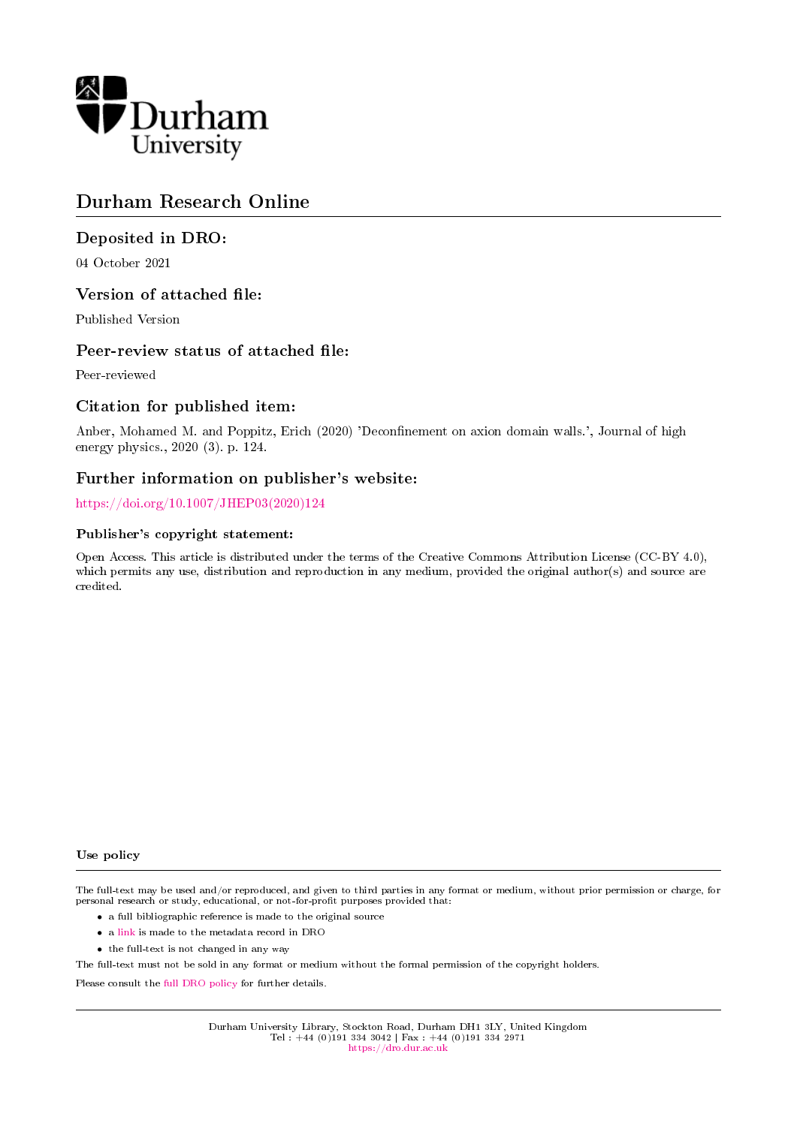

# Durham Research Online

# Deposited in DRO:

04 October 2021

## Version of attached file:

Published Version

## Peer-review status of attached file:

Peer-reviewed

# Citation for published item:

Anber, Mohamed M. and Poppitz, Erich (2020) 'Deconfinement on axion domain walls.', Journal of high energy physics., 2020 (3). p. 124.

## Further information on publisher's website:

[https://doi.org/10.1007/JHEP03\(2020\)124](https://doi.org/10.1007/JHEP03(2020)124)

### Publisher's copyright statement:

Open Access. This article is distributed under the terms of the Creative Commons Attribution License (CC-BY 4.0), which permits any use, distribution and reproduction in any medium, provided the original author(s) and source are credited.

#### Use policy

The full-text may be used and/or reproduced, and given to third parties in any format or medium, without prior permission or charge, for personal research or study, educational, or not-for-profit purposes provided that:

- a full bibliographic reference is made to the original source
- a [link](http://dro.dur.ac.uk/34024/) is made to the metadata record in DRO
- the full-text is not changed in any way

The full-text must not be sold in any format or medium without the formal permission of the copyright holders.

Please consult the [full DRO policy](https://dro.dur.ac.uk/policies/usepolicy.pdf) for further details.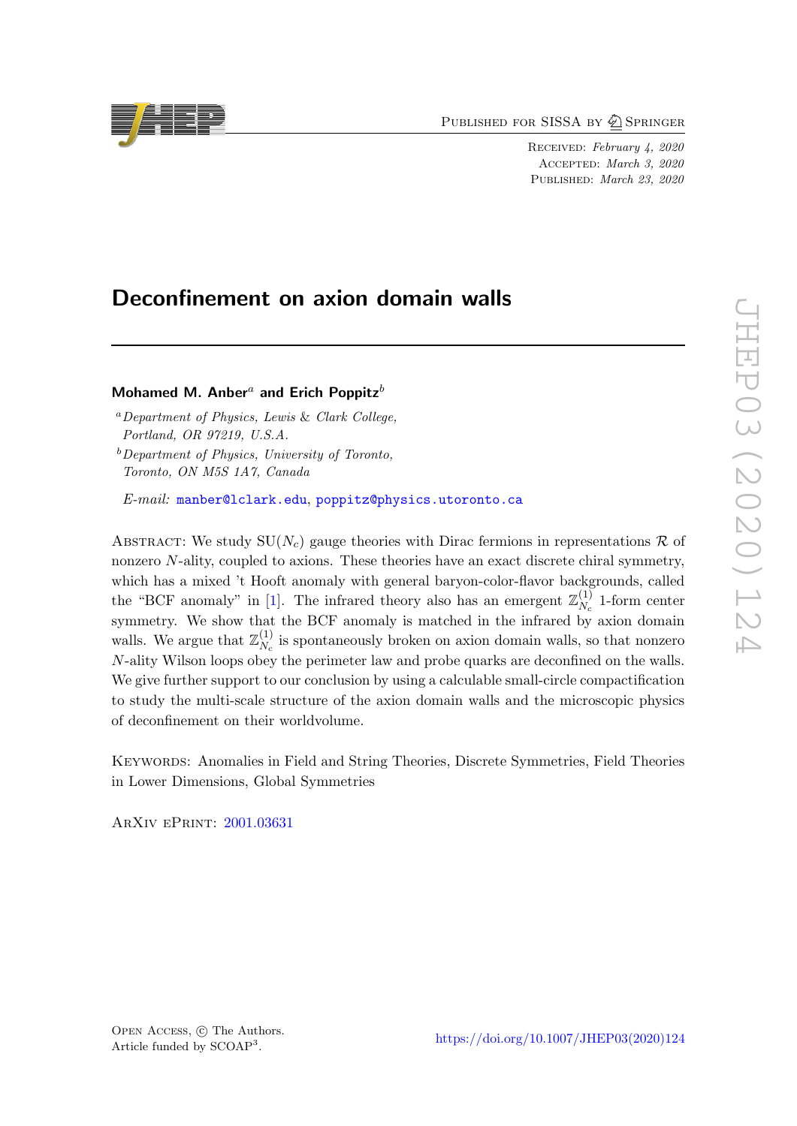PUBLISHED FOR SISSA BY 2 SPRINGER

Received: February 4, 2020 Accepted: March 3, 2020 PUBLISHED: March 23, 2020

# Deconfinement on axion domain walls

## Mohamed M. Anber<sup>a</sup> and Erich Poppitz<sup>b</sup>

<sup>a</sup>Department of Physics, Lewis & Clark College, Portland, OR 97219, U.S.A.

 $b$ Department of Physics, University of Toronto, Toronto, ON M5S 1A7, Canada

E-mail: [manber@lclark.edu](mailto:manber@lclark.edu), [poppitz@physics.utoronto.ca](mailto:poppitz@physics.utoronto.ca)

ABSTRACT: We study  $SU(N_c)$  gauge theories with Dirac fermions in representations R of nonzero  $N$ -ality, coupled to axions. These theories have an exact discrete chiral symmetry, which has a mixed 't Hooft anomaly with general baryon-color-flavor backgrounds, called the "BCF anomaly" in [\[1\]](#page-16-0). The infrared theory also has an emergent  $\mathbb{Z}_{N}^{(1)}$  $N_c^{(1)}$  1-form center symmetry. We show that the BCF anomaly is matched in the infrared by axion domain walls. We argue that  $\mathbb{Z}_N^{(1)}$  $N_c^{(1)}$  is spontaneously broken on axion domain walls, so that nonzero N-ality Wilson loops obey the perimeter law and probe quarks are deconfined on the walls. We give further support to our conclusion by using a calculable small-circle compactification to study the multi-scale structure of the axion domain walls and the microscopic physics of deconfinement on their worldvolume.

Keywords: Anomalies in Field and String Theories, Discrete Symmetries, Field Theories in Lower Dimensions, Global Symmetries

ArXiv ePrint: [2001.03631](https://arxiv.org/abs/2001.03631)

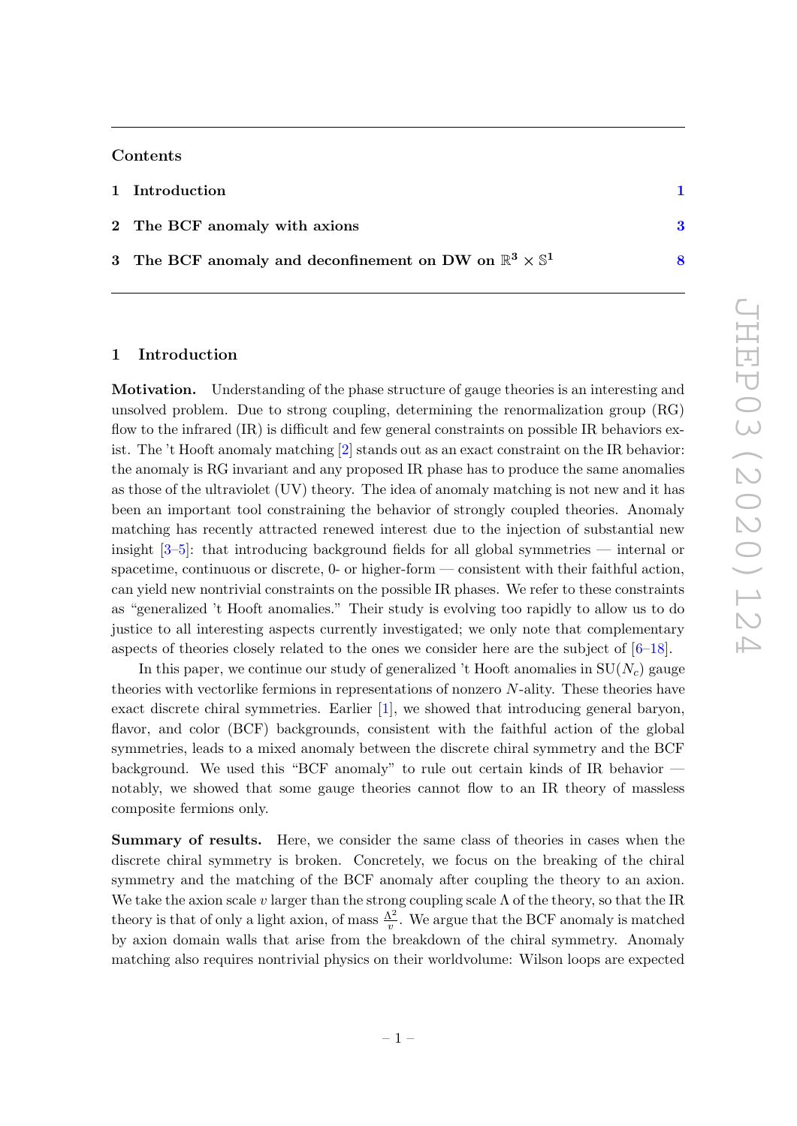### Contents

| 1 Introduction                                                                  |  |
|---------------------------------------------------------------------------------|--|
| 2 The BCF anomaly with axions                                                   |  |
| 3 The BCF anomaly and deconfinement on DW on $\mathbb{R}^3 \times \mathbb{S}^1$ |  |

### <span id="page-2-0"></span>1 Introduction

Motivation. Understanding of the phase structure of gauge theories is an interesting and unsolved problem. Due to strong coupling, determining the renormalization group (RG) flow to the infrared (IR) is difficult and few general constraints on possible IR behaviors exist. The 't Hooft anomaly matching [\[2\]](#page-16-1) stands out as an exact constraint on the IR behavior: the anomaly is RG invariant and any proposed IR phase has to produce the same anomalies as those of the ultraviolet (UV) theory. The idea of anomaly matching is not new and it has been an important tool constraining the behavior of strongly coupled theories. Anomaly matching has recently attracted renewed interest due to the injection of substantial new insight [\[3](#page-17-0)[–5\]](#page-17-1): that introducing background fields for all global symmetries — internal or spacetime, continuous or discrete, 0- or higher-form — consistent with their faithful action, can yield new nontrivial constraints on the possible IR phases. We refer to these constraints as "generalized 't Hooft anomalies." Their study is evolving too rapidly to allow us to do justice to all interesting aspects currently investigated; we only note that complementary aspects of theories closely related to the ones we consider here are the subject of  $[6-18]$  $[6-18]$ .

In this paper, we continue our study of generalized 't Hooft anomalies in  $SU(N_c)$  gauge theories with vectorlike fermions in representations of nonzero N-ality. These theories have exact discrete chiral symmetries. Earlier [\[1\]](#page-16-0), we showed that introducing general baryon, flavor, and color (BCF) backgrounds, consistent with the faithful action of the global symmetries, leads to a mixed anomaly between the discrete chiral symmetry and the BCF background. We used this "BCF anomaly" to rule out certain kinds of IR behavior notably, we showed that some gauge theories cannot flow to an IR theory of massless composite fermions only.

Summary of results. Here, we consider the same class of theories in cases when the discrete chiral symmetry is broken. Concretely, we focus on the breaking of the chiral symmetry and the matching of the BCF anomaly after coupling the theory to an axion. We take the axion scale v larger than the strong coupling scale  $\Lambda$  of the theory, so that the IR theory is that of only a light axion, of mass  $\frac{\Lambda^2}{v}$ . We argue that the BCF anomaly is matched by axion domain walls that arise from the breakdown of the chiral symmetry. Anomaly matching also requires nontrivial physics on their worldvolume: Wilson loops are expected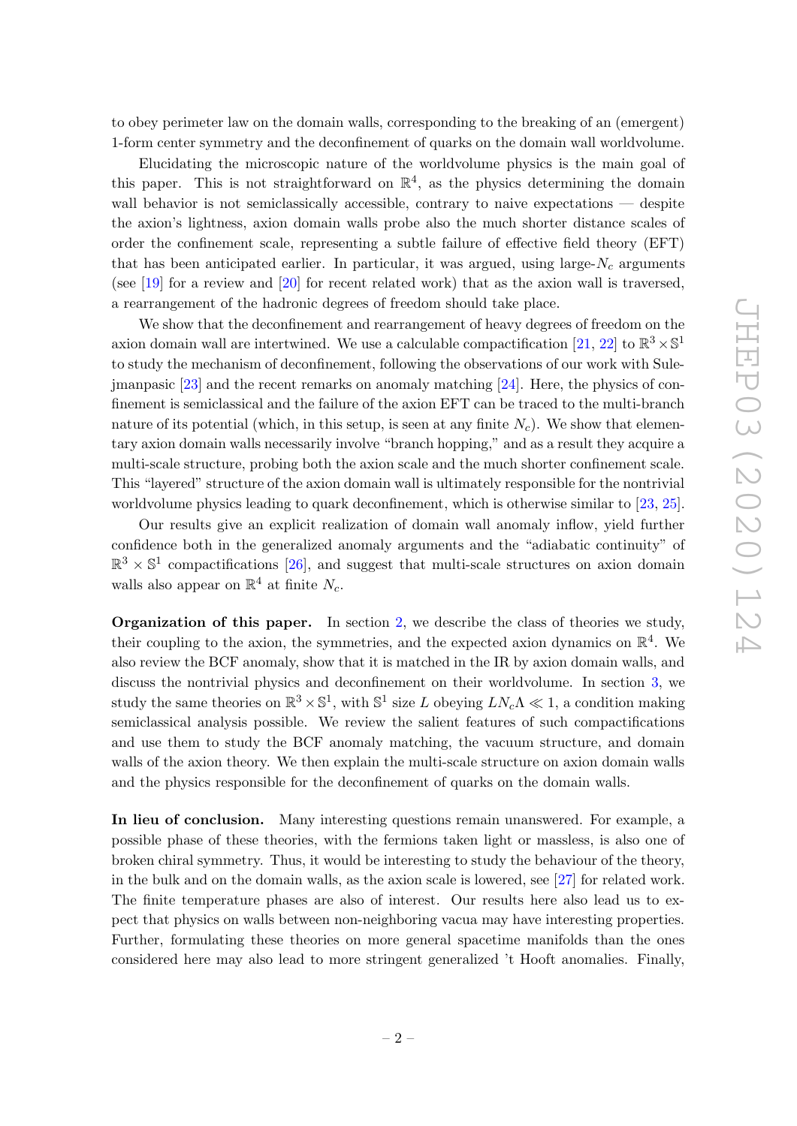to obey perimeter law on the domain walls, corresponding to the breaking of an (emergent) 1-form center symmetry and the deconfinement of quarks on the domain wall worldvolume.

Elucidating the microscopic nature of the worldvolume physics is the main goal of this paper. This is not straightforward on  $\mathbb{R}^4$ , as the physics determining the domain wall behavior is not semiclassically accessible, contrary to naive expectations — despite the axion's lightness, axion domain walls probe also the much shorter distance scales of order the confinement scale, representing a subtle failure of effective field theory (EFT) that has been anticipated earlier. In particular, it was argued, using large- $N_c$  arguments (see [\[19\]](#page-17-4) for a review and [\[20\]](#page-17-5) for recent related work) that as the axion wall is traversed, a rearrangement of the hadronic degrees of freedom should take place.

We show that the deconfinement and rearrangement of heavy degrees of freedom on the axion domain wall are intertwined. We use a calculable compactification [\[21,](#page-17-6) [22\]](#page-17-7) to  $\mathbb{R}^3 \times \mathbb{S}^1$ to study the mechanism of deconfinement, following the observations of our work with Sulejmanpasic [\[23\]](#page-18-0) and the recent remarks on anomaly matching [\[24\]](#page-18-1). Here, the physics of confinement is semiclassical and the failure of the axion EFT can be traced to the multi-branch nature of its potential (which, in this setup, is seen at any finite  $N_c$ ). We show that elementary axion domain walls necessarily involve "branch hopping," and as a result they acquire a multi-scale structure, probing both the axion scale and the much shorter confinement scale. This "layered" structure of the axion domain wall is ultimately responsible for the nontrivial worldvolume physics leading to quark deconfinement, which is otherwise similar to [\[23,](#page-18-0) [25\]](#page-18-2).

Our results give an explicit realization of domain wall anomaly inflow, yield further confidence both in the generalized anomaly arguments and the "adiabatic continuity" of  $\mathbb{R}^3 \times \mathbb{S}^1$  compactifications [\[26\]](#page-18-3), and suggest that multi-scale structures on axion domain walls also appear on  $\mathbb{R}^4$  at finite  $N_c$ .

Organization of this paper. In section [2,](#page-4-0) we describe the class of theories we study, their coupling to the axion, the symmetries, and the expected axion dynamics on  $\mathbb{R}^4$ . We also review the BCF anomaly, show that it is matched in the IR by axion domain walls, and discuss the nontrivial physics and deconfinement on their worldvolume. In section [3,](#page-9-0) we study the same theories on  $\mathbb{R}^3 \times \mathbb{S}^1$ , with  $\mathbb{S}^1$  size L obeying  $LN_c\Lambda \ll 1$ , a condition making semiclassical analysis possible. We review the salient features of such compactifications and use them to study the BCF anomaly matching, the vacuum structure, and domain walls of the axion theory. We then explain the multi-scale structure on axion domain walls and the physics responsible for the deconfinement of quarks on the domain walls.

In lieu of conclusion. Many interesting questions remain unanswered. For example, a possible phase of these theories, with the fermions taken light or massless, is also one of broken chiral symmetry. Thus, it would be interesting to study the behaviour of the theory, in the bulk and on the domain walls, as the axion scale is lowered, see [\[27\]](#page-18-4) for related work. The finite temperature phases are also of interest. Our results here also lead us to expect that physics on walls between non-neighboring vacua may have interesting properties. Further, formulating these theories on more general spacetime manifolds than the ones considered here may also lead to more stringent generalized 't Hooft anomalies. Finally,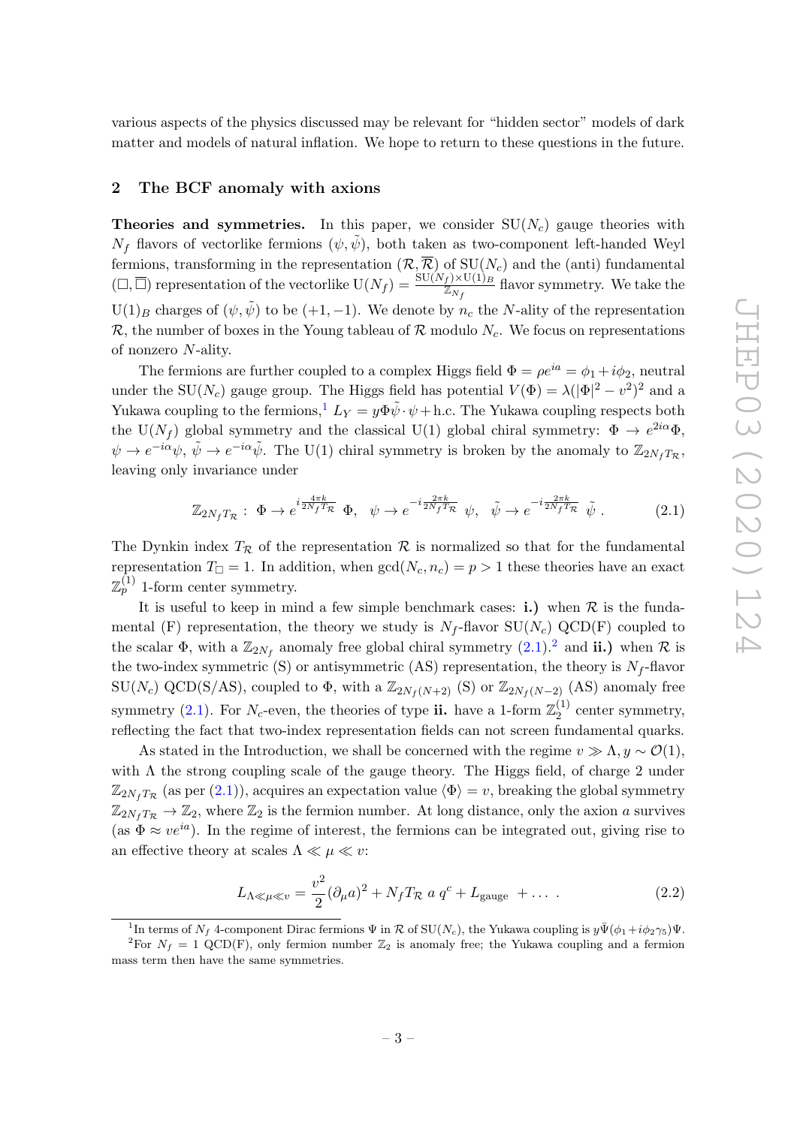various aspects of the physics discussed may be relevant for "hidden sector" models of dark matter and models of natural inflation. We hope to return to these questions in the future.

### <span id="page-4-0"></span>2 The BCF anomaly with axions

**Theories and symmetries.** In this paper, we consider  $SU(N_c)$  gauge theories with  $N_f$  flavors of vectorlike fermions  $(\psi, \psi)$ , both taken as two-component left-handed Weyl fermions, transforming in the representation  $(\mathcal{R}, \overline{\mathcal{R}})$  of  $SU(N_c)$  and the (anti) fundamental  $(L, \overline{\Box})$  representation of the vectorlike  $U(N_f) = \frac{SU(N_f) \times U(1)_B}{\mathbb{Z}_{N_f}}$  flavor symmetry. We take the  $U(1)_B$  charges of  $(\psi, \tilde{\psi})$  to be  $(+1, -1)$ . We denote by  $n_c$  the N-ality of the representation R, the number of boxes in the Young tableau of R modulo  $N_c$ . We focus on representations of nonzero N-ality.

The fermions are further coupled to a complex Higgs field  $\Phi = \rho e^{ia} = \phi_1 + i\phi_2$ , neutral under the SU( $N_c$ ) gauge group. The Higgs field has potential  $V(\Phi) = \lambda (|\Phi|^2 - v^2)^2$  and a Yukawa coupling to the fermions,<sup>[1](#page-4-1)</sup>  $L_Y = y \Phi \tilde{\psi} \cdot \psi + h.c.$  The Yukawa coupling respects both the U( $N_f$ ) global symmetry and the classical U(1) global chiral symmetry:  $\Phi \to e^{2i\alpha}\Phi$ ,  $\psi \to e^{-i\alpha}\psi$ ,  $\tilde{\psi} \to e^{-i\alpha}\tilde{\psi}$ . The U(1) chiral symmetry is broken by the anomaly to  $\mathbb{Z}_{2N_fT_{\mathcal{R}}}$ , leaving only invariance under

<span id="page-4-2"></span>
$$
\mathbb{Z}_{2N_f T_{\mathcal{R}}} : \Phi \to e^{i\frac{4\pi k}{2N_f T_{\mathcal{R}}}} \Phi, \quad \psi \to e^{-i\frac{2\pi k}{2N_f T_{\mathcal{R}}}} \psi, \quad \tilde{\psi} \to e^{-i\frac{2\pi k}{2N_f T_{\mathcal{R}}}} \tilde{\psi}.
$$
 (2.1)

The Dynkin index  $T_R$  of the representation R is normalized so that for the fundamental representation  $T_{\Box} = 1$ . In addition, when  $gcd(N_c, n_c) = p > 1$  these theories have an exact  $\mathbb{Z}_p^{(1)}$  1-form center symmetry.

It is useful to keep in mind a few simple benchmark cases: **i.**) when  $\mathcal{R}$  is the fundamental (F) representation, the theory we study is  $N_f$ -flavor  $SU(N_c)$  QCD(F) coupled to the scalar  $\Phi$ , with a  $\mathbb{Z}_{2N_f}$  $\mathbb{Z}_{2N_f}$  $\mathbb{Z}_{2N_f}$  anomaly free global chiral symmetry  $(2.1).^2$  $(2.1).^2$  and **ii.**) when  $\mathcal{R}$  is the two-index symmetric (S) or antisymmetric (AS) representation, the theory is  $N_f$ -flavor  $\text{SU}(N_c) \text{ QCD}(S/AS)$ , coupled to  $\Phi$ , with a  $\mathbb{Z}_{2N_f(N+2)}$  (S) or  $\mathbb{Z}_{2N_f(N-2)}$  (AS) anomaly free symmetry [\(2.1\)](#page-4-2). For  $N_c$ -even, the theories of type ii. have a 1-form  $\mathbb{Z}_2^{(1)}$  $\frac{1}{2}$  center symmetry, reflecting the fact that two-index representation fields can not screen fundamental quarks.

As stated in the Introduction, we shall be concerned with the regime  $v \gg \Lambda$ ,  $y \sim \mathcal{O}(1)$ , with  $\Lambda$  the strong coupling scale of the gauge theory. The Higgs field, of charge 2 under  $\mathbb{Z}_{2N_fT_{\mathcal{R}}}$  (as per [\(2.1\)](#page-4-2)), acquires an expectation value  $\langle \Phi \rangle = v$ , breaking the global symmetry  $\mathbb{Z}_{2N_fT_R} \to \mathbb{Z}_2$ , where  $\mathbb{Z}_2$  is the fermion number. At long distance, only the axion a survives (as  $\Phi \approx v e^{ia}$ ). In the regime of interest, the fermions can be integrated out, giving rise to an effective theory at scales  $\Lambda \ll \mu \ll v$ :

<span id="page-4-4"></span>
$$
L_{\Lambda \ll \mu \ll v} = \frac{v^2}{2} (\partial_{\mu} a)^2 + N_f T_{\mathcal{R}} a q^c + L_{\text{gauge}} + \dots \tag{2.2}
$$

<span id="page-4-3"></span><span id="page-4-1"></span><sup>&</sup>lt;sup>1</sup>In terms of  $N_f$  4-component Dirac fermions  $\Psi$  in  $R$  of  $SU(N_c)$ , the Yukawa coupling is  $y\overline{\Psi}(\phi_1+i\phi_2\gamma_5)\Psi$ .

<sup>&</sup>lt;sup>2</sup>For  $N_f = 1$  QCD(F), only fermion number  $\mathbb{Z}_2$  is anomaly free; the Yukawa coupling and a fermion mass term then have the same symmetries.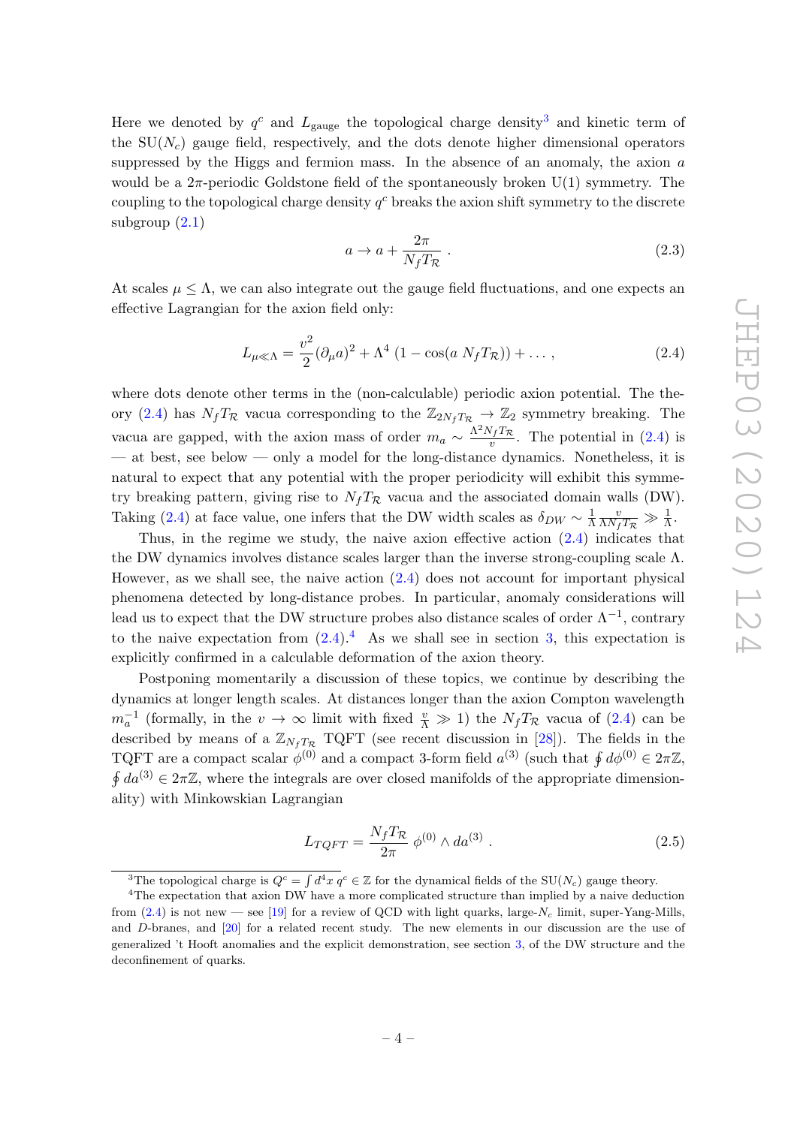Here we denoted by  $q^c$  and  $L_{\text{gauge}}$  the topological charge density<sup>[3](#page-5-0)</sup> and kinetic term of the  $SU(N_c)$  gauge field, respectively, and the dots denote higher dimensional operators suppressed by the Higgs and fermion mass. In the absence of an anomaly, the axion a would be a  $2\pi$ -periodic Goldstone field of the spontaneously broken U(1) symmetry. The coupling to the topological charge density  $q<sup>c</sup>$  breaks the axion shift symmetry to the discrete subgroup  $(2.1)$ 

<span id="page-5-4"></span>
$$
a \to a + \frac{2\pi}{N_f T_{\mathcal{R}}} \ . \tag{2.3}
$$

At scales  $\mu \leq \Lambda$ , we can also integrate out the gauge field fluctuations, and one expects an effective Lagrangian for the axion field only:

<span id="page-5-1"></span>
$$
L_{\mu \ll \Lambda} = \frac{v^2}{2} (\partial_{\mu} a)^2 + \Lambda^4 (1 - \cos(a N_f T_{\mathcal{R}})) + \dots,
$$
 (2.4)

where dots denote other terms in the (non-calculable) periodic axion potential. The the-ory [\(2.4\)](#page-5-1) has  $N_fT_R$  vacua corresponding to the  $\mathbb{Z}_{2N_fT_R} \to \mathbb{Z}_2$  symmetry breaking. The vacua are gapped, with the axion mass of order  $m_a \sim \frac{\Lambda^2 N_f T_R}{v}$  $\frac{\nu_f \mu_{\mathcal{R}}}{\nu}$ . The potential in  $(2.4)$  is — at best, see below — only a model for the long-distance dynamics. Nonetheless, it is natural to expect that any potential with the proper periodicity will exhibit this symmetry breaking pattern, giving rise to  $N_f T_R$  vacua and the associated domain walls (DW). Taking [\(2.4\)](#page-5-1) at face value, one infers that the DW width scales as  $\delta_{DW} \sim \frac{1}{\Lambda}$ Λ  $\frac{v}{\Lambda N_f T_{\mathcal{R}}} \gg \frac{1}{\Lambda}.$ 

Thus, in the regime we study, the naive axion effective action [\(2.4\)](#page-5-1) indicates that the DW dynamics involves distance scales larger than the inverse strong-coupling scale  $\Lambda$ . However, as we shall see, the naive action [\(2.4\)](#page-5-1) does not account for important physical phenomena detected by long-distance probes. In particular, anomaly considerations will lead us to expect that the DW structure probes also distance scales of order  $\Lambda^{-1}$ , contrary to the naive expectation from  $(2.4)$ .<sup>[4](#page-5-2)</sup> As we shall see in section [3,](#page-9-0) this expectation is explicitly confirmed in a calculable deformation of the axion theory.

Postponing momentarily a discussion of these topics, we continue by describing the dynamics at longer length scales. At distances longer than the axion Compton wavelength  $m_a^{-1}$  (formally, in the  $v \to \infty$  limit with fixed  $\frac{v}{\Lambda} \gg 1$ ) the  $N_f T_{\mathcal{R}}$  vacua of [\(2.4\)](#page-5-1) can be described by means of a  $\mathbb{Z}_{N_fT_{\mathcal{R}}}$  TQFT (see recent discussion in [\[28\]](#page-18-5)). The fields in the TQFT are a compact scalar  $\phi^{(0)}$  and a compact 3-form field  $a^{(3)}$  (such that  $\oint d\phi^{(0)} \in 2\pi\mathbb{Z}$ ,  $\oint da^{(3)} \in 2\pi\mathbb{Z}$ , where the integrals are over closed manifolds of the appropriate dimensionality) with Minkowskian Lagrangian

<span id="page-5-3"></span>
$$
L_{TQFT} = \frac{N_f T_{\mathcal{R}}}{2\pi} \phi^{(0)} \wedge da^{(3)} \ . \tag{2.5}
$$

<span id="page-5-2"></span><span id="page-5-0"></span><sup>&</sup>lt;sup>3</sup>The topological charge is  $Q^c = \int d^4x \; q^c \in \mathbb{Z}$  for the dynamical fields of the SU(N<sub>c</sub>) gauge theory.

<sup>&</sup>lt;sup>4</sup>The expectation that axion DW have a more complicated structure than implied by a naive deduction from [\(2.4\)](#page-5-1) is not new — see [\[19\]](#page-17-4) for a review of QCD with light quarks, large- $N_c$  limit, super-Yang-Mills, and D-branes, and [\[20\]](#page-17-5) for a related recent study. The new elements in our discussion are the use of generalized 't Hooft anomalies and the explicit demonstration, see section [3,](#page-9-0) of the DW structure and the deconfinement of quarks.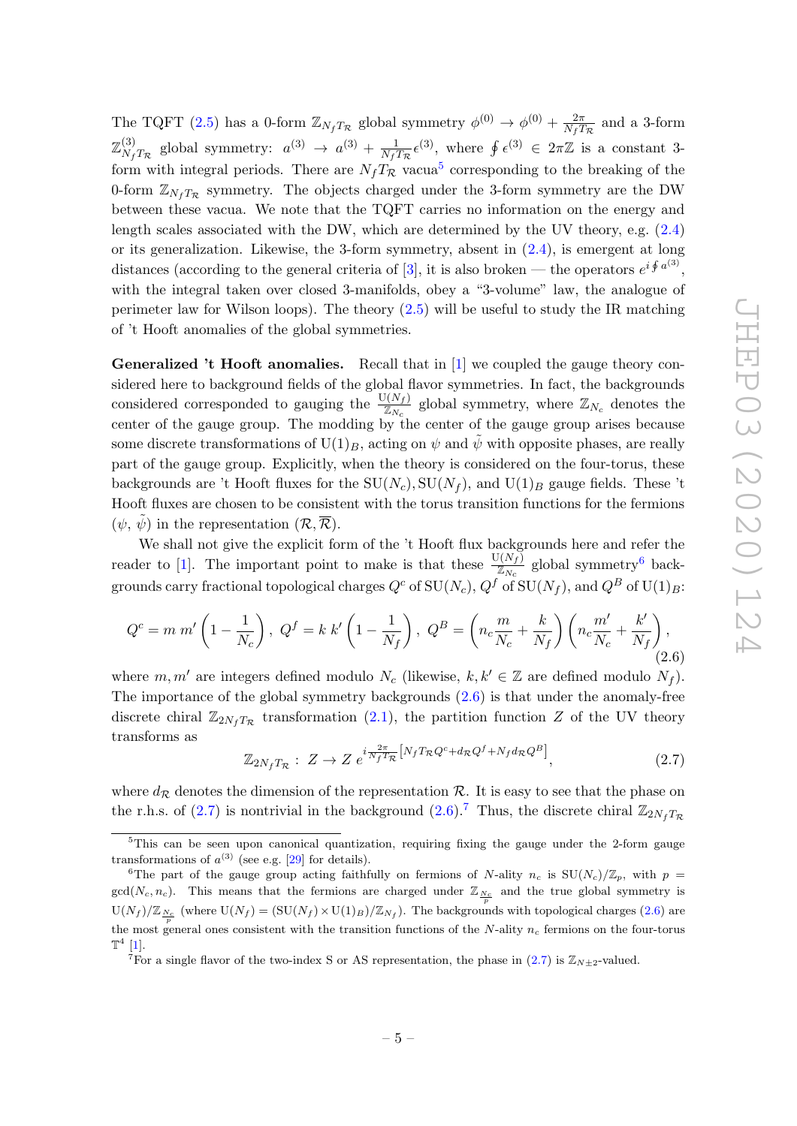The TQFT [\(2.5\)](#page-5-3) has a 0-form  $\mathbb{Z}_{N_fT_{\mathcal{R}}}$  global symmetry  $\phi^{(0)} \to \phi^{(0)} + \frac{2\pi}{N_fT}$  $\frac{2\pi}{N_fT_{\mathcal{R}}}$  and a 3-form  $\mathbb{Z}_v^{(3)}$  $\frac{d^{(3)}}{N_fT_{\mathcal{R}}}$  global symmetry:  $a^{(3)} \rightarrow a^{(3)} + \frac{1}{N_fT}$  $\frac{1}{N_f T_{\mathcal{R}}} \epsilon^{(3)}$ , where  $\oint \epsilon^{(3)} \in 2\pi \mathbb{Z}$  is a constant 3form with integral periods. There are  $N_f T_{\mathcal{R}}$  vacua<sup>[5](#page-6-0)</sup> corresponding to the breaking of the 0-form  $\mathbb{Z}_{N_fT_R}$  symmetry. The objects charged under the 3-form symmetry are the DW between these vacua. We note that the TQFT carries no information on the energy and length scales associated with the DW, which are determined by the UV theory, e.g. [\(2.4\)](#page-5-1) or its generalization. Likewise, the 3-form symmetry, absent in  $(2.4)$ , is emergent at long distances (according to the general criteria of [\[3\]](#page-17-0), it is also broken — the operators  $e^{i \oint a^{(3)}}$ , with the integral taken over closed 3-manifolds, obey a "3-volume" law, the analogue of perimeter law for Wilson loops). The theory  $(2.5)$  will be useful to study the IR matching of 't Hooft anomalies of the global symmetries.

Generalized 't Hooft anomalies. Recall that in [\[1\]](#page-16-0) we coupled the gauge theory considered here to background fields of the global flavor symmetries. In fact, the backgrounds considered corresponded to gauging the  $\frac{U(N_f)}{\mathbb{Z}_{N_c}}$  global symmetry, where  $\mathbb{Z}_{N_c}$  denotes the center of the gauge group. The modding by the center of the gauge group arises because some discrete transformations of  $U(1)_B$ , acting on  $\psi$  and  $\psi$  with opposite phases, are really part of the gauge group. Explicitly, when the theory is considered on the four-torus, these backgrounds are 't Hooft fluxes for the  $SU(N_c), SU(N_f)$ , and  $U(1)_B$  gauge fields. These 't Hooft fluxes are chosen to be consistent with the torus transition functions for the fermions  $(\psi, \tilde{\psi})$  in the representation  $(\mathcal{R}, \overline{\mathcal{R}})$ .

We shall not give the explicit form of the 't Hooft flux backgrounds here and refer the reader to [\[1\]](#page-16-0). The important point to make is that these  $\frac{U(N_f)}{\mathbb{Z}_{N_c}}$  global symmetry<sup>[6](#page-6-1)</sup> backgrounds carry fractional topological charges  $Q^c$  of  $SU(N_c)$ ,  $Q^f$  of  $SU(N_f)$ , and  $Q^B$  of  $U(1)_B$ :

<span id="page-6-2"></span>
$$
Q^{c} = m \, m' \left( 1 - \frac{1}{N_c} \right), \ Q^{f} = k \, k' \left( 1 - \frac{1}{N_f} \right), \ Q^{B} = \left( n_c \frac{m}{N_c} + \frac{k}{N_f} \right) \left( n_c \frac{m'}{N_c} + \frac{k'}{N_f} \right), \tag{2.6}
$$

where  $m, m'$  are integers defined modulo  $N_c$  (likewise,  $k, k' \in \mathbb{Z}$  are defined modulo  $N_f$ ). The importance of the global symmetry backgrounds [\(2.6\)](#page-6-2) is that under the anomaly-free discrete chiral  $\mathbb{Z}_{2N_fT_{\mathcal{R}}}$  transformation [\(2.1\)](#page-4-2), the partition function Z of the UV theory transforms as

<span id="page-6-3"></span>
$$
\mathbb{Z}_{2N_f T_{\mathcal{R}}} : Z \to Z \, e^{i \frac{2\pi}{N_f T_{\mathcal{R}}}} \left[ N_f T_{\mathcal{R}} Q^c + d_{\mathcal{R}} Q^f + N_f d_{\mathcal{R}} Q^B \right], \tag{2.7}
$$

where  $d_{\mathcal{R}}$  denotes the dimension of the representation  $\mathcal{R}$ . It is easy to see that the phase on the r.h.s. of [\(2.7\)](#page-6-3) is nontrivial in the background [\(2.6\)](#page-6-2).<sup>[7](#page-6-4)</sup> Thus, the discrete chiral  $\mathbb{Z}_{2N_fT_{\mathcal{P}}}$ 

<span id="page-6-0"></span> $5$ This can be seen upon canonical quantization, requiring fixing the gauge under the 2-form gauge transformations of  $a^{(3)}$  (see e.g. [\[29\]](#page-18-6) for details).

<span id="page-6-1"></span><sup>&</sup>lt;sup>6</sup>The part of the gauge group acting faithfully on fermions of N-ality  $n_c$  is  $SU(N_c)/\mathbb{Z}_p$ , with  $p =$  $gcd(N_c, n_c)$ . This means that the fermions are charged under  $\mathbb{Z}_{\frac{N_c}{p}}$  and the true global symmetry is  $U(N_f)/\mathbb{Z}_{N_c}$  (where  $U(N_f) = (SU(N_f) \times U(1)_B)/\mathbb{Z}_{N_f}$ ). The backgrounds with topological charges [\(2.6\)](#page-6-2) are the most general ones consistent with the transition functions of the N-ality  $n_c$  fermions on the four-torus  $\mathbb{T}^4$  [\[1\]](#page-16-0).

<span id="page-6-4"></span><sup>&</sup>lt;sup>7</sup>For a single flavor of the two-index S or AS representation, the phase in [\(2.7\)](#page-6-3) is  $\mathbb{Z}_{N+2}$ -valued.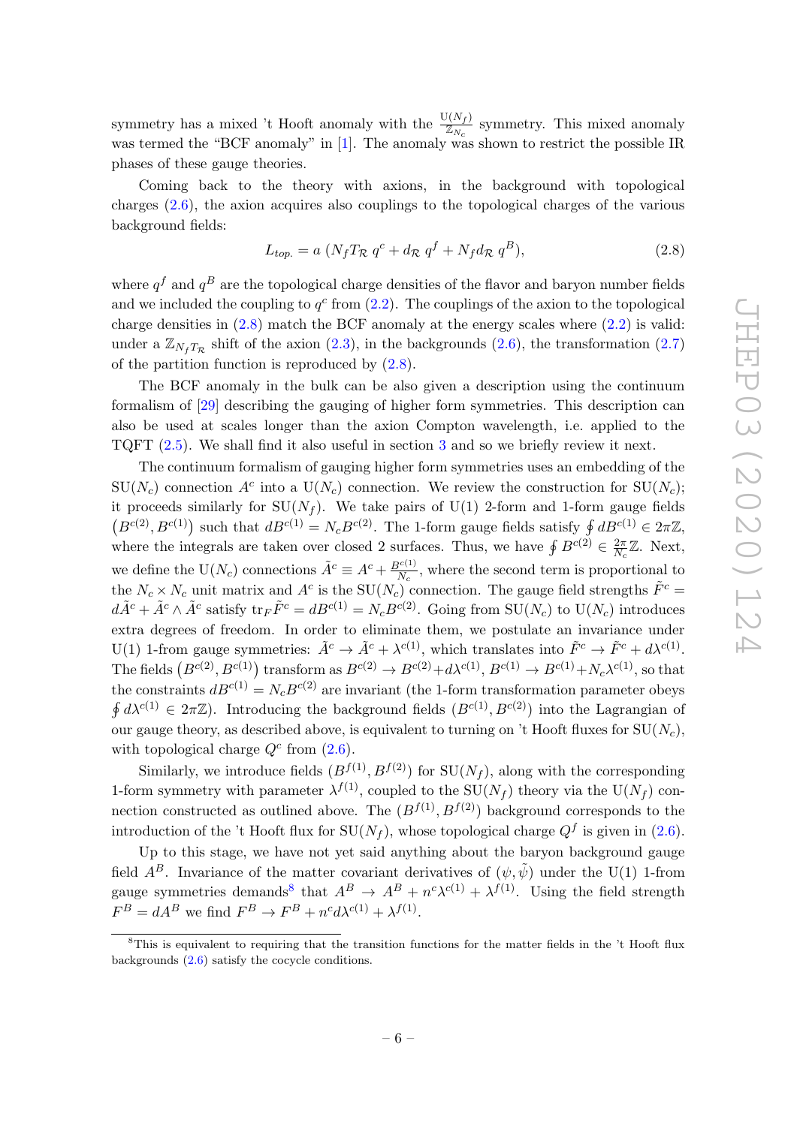symmetry has a mixed 't Hooft anomaly with the  $\frac{U(N_f)}{Z_{N_c}}$  symmetry. This mixed anomaly was termed the "BCF anomaly" in [\[1\]](#page-16-0). The anomaly was shown to restrict the possible IR phases of these gauge theories.

Coming back to the theory with axions, in the background with topological charges [\(2.6\)](#page-6-2), the axion acquires also couplings to the topological charges of the various background fields:

<span id="page-7-0"></span>
$$
L_{top.} = a \left( N_f T_{\mathcal{R}} q^c + d_{\mathcal{R}} q^f + N_f d_{\mathcal{R}} q^B \right), \tag{2.8}
$$

where  $q<sup>f</sup>$  and  $q<sup>B</sup>$  are the topological charge densities of the flavor and baryon number fields and we included the coupling to  $q^c$  from  $(2.2)$ . The couplings of the axion to the topological charge densities in  $(2.8)$  match the BCF anomaly at the energy scales where  $(2.2)$  is valid: under a  $\mathbb{Z}_{N_fT_{\mathcal{R}}}$  shift of the axion [\(2.3\)](#page-5-4), in the backgrounds [\(2.6\)](#page-6-2), the transformation [\(2.7\)](#page-6-3) of the partition function is reproduced by  $(2.8)$ .

The BCF anomaly in the bulk can be also given a description using the continuum formalism of [\[29\]](#page-18-6) describing the gauging of higher form symmetries. This description can also be used at scales longer than the axion Compton wavelength, i.e. applied to the TQFT [\(2.5\)](#page-5-3). We shall find it also useful in section [3](#page-9-0) and so we briefly review it next.

The continuum formalism of gauging higher form symmetries uses an embedding of the  $SU(N_c)$  connection  $A^c$  into a  $U(N_c)$  connection. We review the construction for  $SU(N_c)$ ; it proceeds similarly for  $SU(N_f)$ . We take pairs of U(1) 2-form and 1-form gauge fields  $(B^{c(2)}, B^{c(1)})$  such that  $dB^{c(1)} = N_c B^{c(2)}$ . The 1-form gauge fields satisfy  $\oint dB^{c(1)} \in 2\pi\mathbb{Z}$ , where the integrals are taken over closed 2 surfaces. Thus, we have  $\oint B^{c(2)} \in \frac{2\pi}{N}$  $\frac{2\pi}{N_c}\mathbb{Z}$ . Next, we define the U(N<sub>c</sub>) connections  $\tilde{A}^c \equiv A^c + \frac{B^{c(1)}}{N_c}$  $\frac{N_c(1)}{N_c}$ , where the second term is proportional to the  $N_c \times N_c$  unit matrix and  $A^c$  is the  $SU(N_c)$  connection. The gauge field strengths  $\tilde{F}^c$  =  $d\tilde{A}^c + \tilde{A}^c \wedge \tilde{A}^c$  satisfy  $\text{tr}_F \tilde{F}^c = dB^{c(1)} = N_c B^{c(2)}$ . Going from  $SU(N_c)$  to  $U(N_c)$  introduces extra degrees of freedom. In order to eliminate them, we postulate an invariance under U(1) 1-from gauge symmetries:  $\tilde{A}^c \to \tilde{A}^c + \lambda^{c(1)}$ , which translates into  $\tilde{F}^c \to \tilde{F}^c + d\lambda^{c(1)}$ . The fields  $(B^{c(2)}, B^{c(1)})$  transform as  $B^{c(2)} \to B^{c(2)} + d\lambda^{c(1)}, B^{c(1)} \to B^{c(1)} + N_c\lambda^{c(1)},$  so that the constraints  $dB^{c(1)} = N_c B^{c(2)}$  are invariant (the 1-form transformation parameter obeys  $\oint d\lambda^{c(1)} \in 2\pi\mathbb{Z}$ ). Introducing the background fields  $(B^{c(1)}, B^{c(2)})$  into the Lagrangian of our gauge theory, as described above, is equivalent to turning on 't Hooft fluxes for  $SU(N_c)$ , with topological charge  $Q^c$  from  $(2.6)$ .

Similarly, we introduce fields  $(B^{f(1)}, B^{f(2)})$  for  $SU(N_f)$ , along with the corresponding 1-form symmetry with parameter  $\lambda^{f(1)}$ , coupled to the SU( $N_f$ ) theory via the U( $N_f$ ) connection constructed as outlined above. The  $(B^{f(1)}, B^{f(2)})$  background corresponds to the introduction of the 't Hooft flux for  $SU(N_f)$ , whose topological charge  $Q^f$  is given in [\(2.6\)](#page-6-2).

Up to this stage, we have not yet said anything about the baryon background gauge field  $A^B$ . Invariance of the matter covariant derivatives of  $(\psi, \tilde{\psi})$  under the U(1) 1-from gauge symmetries demands<sup>[8](#page-7-1)</sup> that  $A^B \to A^B + n^c \lambda^{c(1)} + \lambda^{f(1)}$ . Using the field strength  $F^B = dA^B$  we find  $F^B \to F^B + n^c d\lambda^{c(1)} + \lambda^{f(1)}$ .

<span id="page-7-1"></span> ${}^{8}$ This is equivalent to requiring that the transition functions for the matter fields in the 't Hooft flux backgrounds [\(2.6\)](#page-6-2) satisfy the cocycle conditions.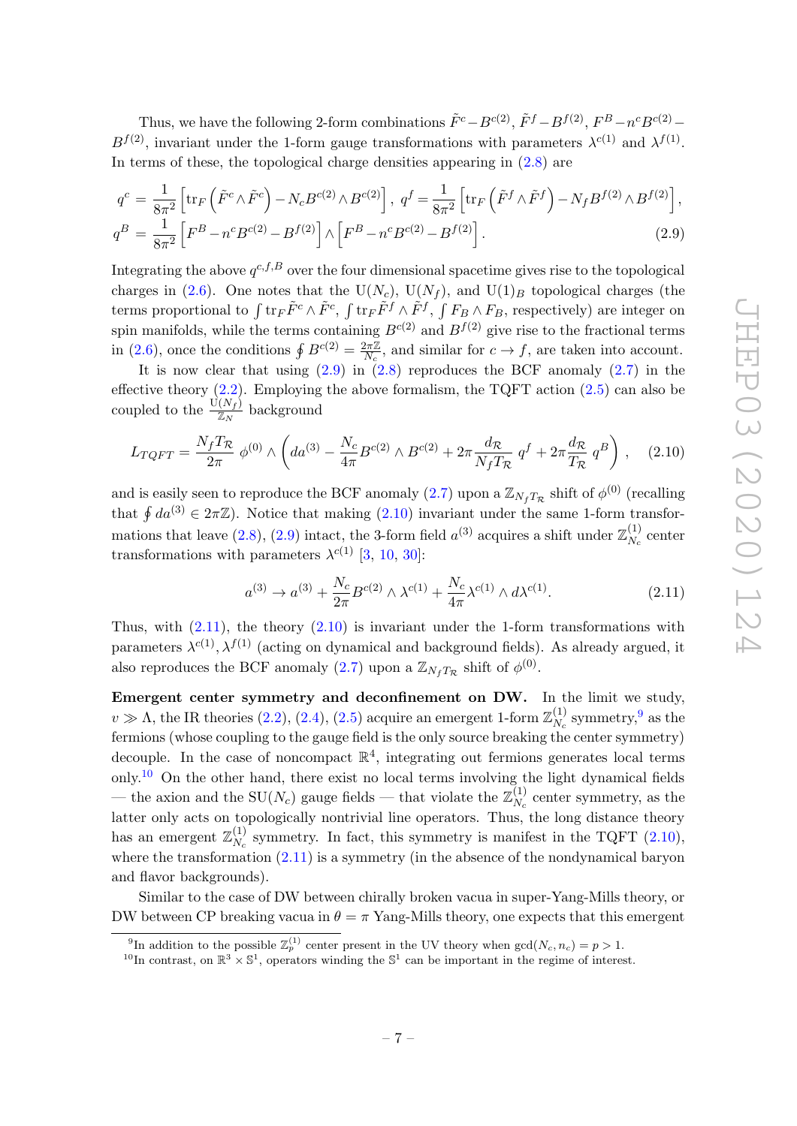Thus, we have the following 2-form combinations  $\tilde{F}^c - B^{c(2)}$ ,  $\tilde{F}^f - B^{f(2)}$ ,  $F^B - n^c B^{c(2)} B^{f(2)}$ , invariant under the 1-form gauge transformations with parameters  $\lambda^{c(1)}$  and  $\lambda^{f(1)}$ . In terms of these, the topological charge densities appearing in  $(2.8)$  are

<span id="page-8-0"></span>
$$
q^{c} = \frac{1}{8\pi^{2}} \left[ \text{tr}_{F} \left( \tilde{F}^{c} \wedge \tilde{F}^{c} \right) - N_{c} B^{c(2)} \wedge B^{c(2)} \right], \ q^{f} = \frac{1}{8\pi^{2}} \left[ \text{tr}_{F} \left( \tilde{F}^{f} \wedge \tilde{F}^{f} \right) - N_{f} B^{f(2)} \wedge B^{f(2)} \right],
$$
  

$$
q^{B} = \frac{1}{8\pi^{2}} \left[ F^{B} - n^{c} B^{c(2)} - B^{f(2)} \right] \wedge \left[ F^{B} - n^{c} B^{c(2)} - B^{f(2)} \right].
$$
 (2.9)

Integrating the above  $q^{c,f,B}$  over the four dimensional spacetime gives rise to the topological charges in [\(2.6\)](#page-6-2). One notes that the U(N<sub>c</sub>), U(N<sub>f</sub>), and U(1)<sub>B</sub> topological charges (the terms proportional to  $\int \text{tr}_F \tilde{F}^c \wedge \tilde{F}^c$ ,  $\int \text{tr}_F \tilde{F}^f \wedge \tilde{F}^f$ ,  $\int F_B \wedge F_B$ , respectively) are integer on spin manifolds, while the terms containing  $B^{c(2)}$  and  $B^{f(2)}$  give rise to the fractional terms in [\(2.6\)](#page-6-2), once the conditions  $\oint B^{c(2)} = \frac{2\pi\mathbb{Z}}{N}$  $\frac{2\pi\mathbb{Z}}{N_c}$ , and similar for  $c \to f$ , are taken into account.

It is now clear that using  $(2.9)$  in  $(2.8)$  reproduces the BCF anomaly  $(2.7)$  in the effective theory  $(2.2)$ . Employing the above formalism, the TQFT action  $(2.5)$  can also be coupled to the  $\frac{U(N_f)}{\mathbb{Z}_N}$  background

<span id="page-8-1"></span>
$$
L_{TQFT} = \frac{N_f T_{\mathcal{R}}}{2\pi} \phi^{(0)} \wedge \left( da^{(3)} - \frac{N_c}{4\pi} B^{c(2)} \wedge B^{c(2)} + 2\pi \frac{d_{\mathcal{R}}}{N_f T_{\mathcal{R}}} q^f + 2\pi \frac{d_{\mathcal{R}}}{T_{\mathcal{R}}} q^B \right) , \quad (2.10)
$$

and is easily seen to reproduce the BCF anomaly  $(2.7)$  upon a  $\mathbb{Z}_{N_fT_R}$  shift of  $\phi^{(0)}$  (recalling that  $\oint da^{(3)} \in 2\pi\mathbb{Z}$ . Notice that making  $(2.10)$  invariant under the same 1-form transfor-mations that leave [\(2.8\)](#page-7-0), [\(2.9\)](#page-8-0) intact, the 3-form field  $a^{(3)}$  acquires a shift under  $\mathbb{Z}_{N}^{(1)}$  $N_c^{(1)}$  center transformations with parameters  $\lambda^{c(1)}$  [\[3,](#page-17-0) [10,](#page-17-8) [30\]](#page-18-7):

<span id="page-8-2"></span>
$$
a^{(3)} \to a^{(3)} + \frac{N_c}{2\pi} B^{c(2)} \wedge \lambda^{c(1)} + \frac{N_c}{4\pi} \lambda^{c(1)} \wedge d\lambda^{c(1)}.
$$
 (2.11)

Thus, with  $(2.11)$ , the theory  $(2.10)$  is invariant under the 1-form transformations with parameters  $\lambda^{c(1)}$ ,  $\lambda^{f(1)}$  (acting on dynamical and background fields). As already argued, it also reproduces the BCF anomaly [\(2.7\)](#page-6-3) upon a  $\mathbb{Z}_{N_fT_R}$  shift of  $\phi^{(0)}$ .

Emergent center symmetry and deconfinement on DW. In the limit we study,  $v \gg \Lambda$ , the IR theories [\(2.2\)](#page-4-4), [\(2.4\)](#page-5-1), [\(2.5\)](#page-5-3) acquire an emergent 1-form  $\mathbb{Z}_{N}^{(1)}$  $\frac{(1)}{N_c}$  symmetry,  $9$  as the fermions (whose coupling to the gauge field is the only source breaking the center symmetry) decouple. In the case of noncompact  $\mathbb{R}^4$ , integrating out fermions generates local terms only.<sup>[10](#page-8-4)</sup> On the other hand, there exist no local terms involving the light dynamical fields — the axion and the SU(N<sub>c</sub>) gauge fields — that violate the  $\mathbb{Z}_{N_c}^{(1)}$  $N_c^{(1)}$  center symmetry, as the latter only acts on topologically nontrivial line operators. Thus, the long distance theory has an emergent  $\mathbb{Z}_{N_a}^{(1)}$  $N_c^{(1)}$  symmetry. In fact, this symmetry is manifest in the TQFT [\(2.10\)](#page-8-1), where the transformation  $(2.11)$  is a symmetry (in the absence of the nondynamical baryon and flavor backgrounds).

Similar to the case of DW between chirally broken vacua in super-Yang-Mills theory, or DW between CP breaking vacua in  $\theta = \pi$  Yang-Mills theory, one expects that this emergent

<span id="page-8-3"></span><sup>&</sup>lt;sup>9</sup>In addition to the possible  $\mathbb{Z}_p^{(1)}$  center present in the UV theory when  $gcd(N_c, n_c) = p > 1$ .

<span id="page-8-4"></span><sup>&</sup>lt;sup>10</sup>In contrast, on  $\mathbb{R}^3 \times \mathbb{S}^1$ , operators winding the  $\mathbb{S}^1$  can be important in the regime of interest.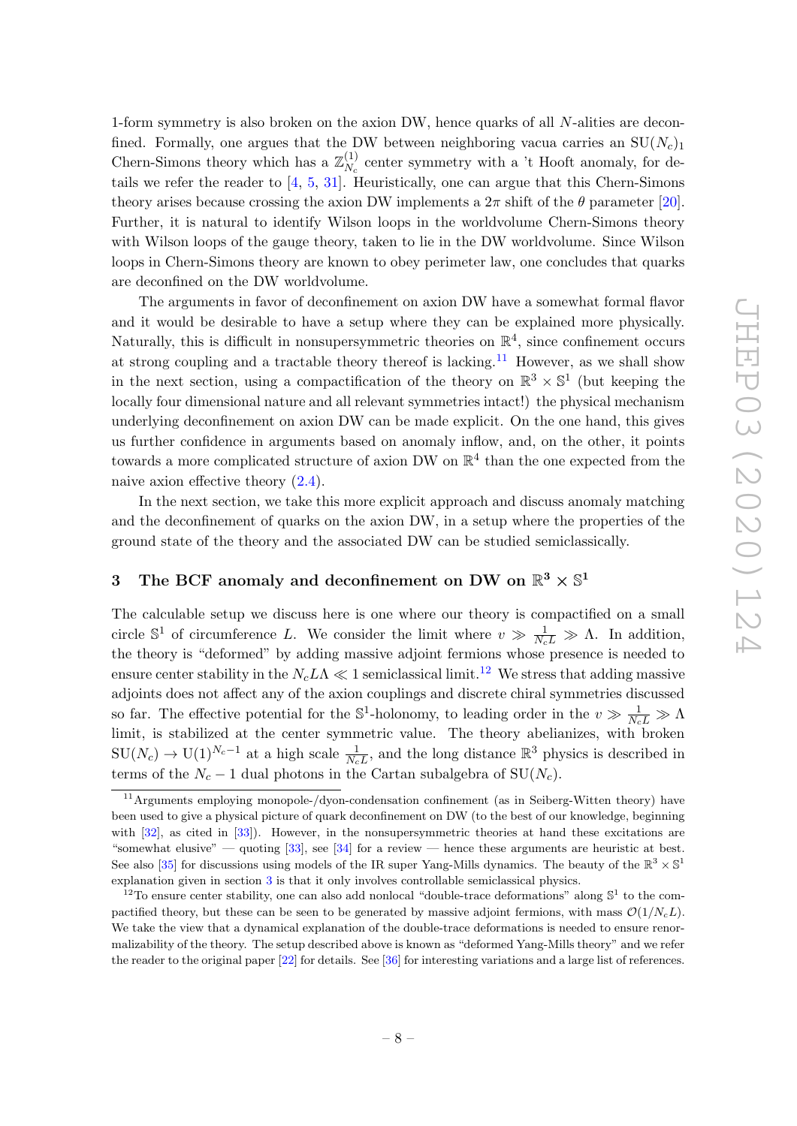1-form symmetry is also broken on the axion DW, hence quarks of all N-alities are deconfined. Formally, one argues that the DW between neighboring vacua carries an  $SU(N_c)_1$ Chern-Simons theory which has a  $\mathbb{Z}_N^{(1)}$  $N_c^{(1)}$  center symmetry with a 't Hooft anomaly, for details we refer the reader to [\[4,](#page-17-9) [5,](#page-17-1) [31\]](#page-18-8). Heuristically, one can argue that this Chern-Simons theory arises because crossing the axion DW implements a  $2\pi$  shift of the  $\theta$  parameter [\[20\]](#page-17-5). Further, it is natural to identify Wilson loops in the worldvolume Chern-Simons theory with Wilson loops of the gauge theory, taken to lie in the DW worldvolume. Since Wilson loops in Chern-Simons theory are known to obey perimeter law, one concludes that quarks are deconfined on the DW worldvolume.

The arguments in favor of deconfinement on axion DW have a somewhat formal flavor and it would be desirable to have a setup where they can be explained more physically. Naturally, this is difficult in nonsupersymmetric theories on  $\mathbb{R}^4$ , since confinement occurs at strong coupling and a tractable theory thereof is lacking.<sup>[11](#page-9-1)</sup> However, as we shall show in the next section, using a compactification of the theory on  $\mathbb{R}^3 \times \mathbb{S}^1$  (but keeping the locally four dimensional nature and all relevant symmetries intact!) the physical mechanism underlying deconfinement on axion DW can be made explicit. On the one hand, this gives us further confidence in arguments based on anomaly inflow, and, on the other, it points towards a more complicated structure of axion DW on  $\mathbb{R}^4$  than the one expected from the naive axion effective theory [\(2.4\)](#page-5-1).

In the next section, we take this more explicit approach and discuss anomaly matching and the deconfinement of quarks on the axion DW, in a setup where the properties of the ground state of the theory and the associated DW can be studied semiclassically.

# <span id="page-9-0"></span>3 The BCF anomaly and deconfinement on DW on  $\mathbb{R}^3 \times \mathbb{S}^1$

The calculable setup we discuss here is one where our theory is compactified on a small circle  $\mathbb{S}^1$  of circumference L. We consider the limit where  $v \gg \frac{1}{N_c L} \gg \Lambda$ . In addition, the theory is "deformed" by adding massive adjoint fermions whose presence is needed to ensure center stability in the  $N_c L\Lambda \ll 1$  semiclassical limit.<sup>[12](#page-9-2)</sup> We stress that adding massive adjoints does not affect any of the axion couplings and discrete chiral symmetries discussed so far. The effective potential for the  $\mathbb{S}^1$ -holonomy, to leading order in the  $v \gg \frac{1}{N_c L} \gg \Lambda$ limit, is stabilized at the center symmetric value. The theory abelianizes, with broken  $SU(N_c) \to U(1)^{N_c-1}$  at a high scale  $\frac{1}{N_cL}$ , and the long distance  $\mathbb{R}^3$  physics is described in terms of the  $N_c - 1$  dual photons in the Cartan subalgebra of SU( $N_c$ ).

<span id="page-9-1"></span><sup>11</sup>Arguments employing monopole-/dyon-condensation confinement (as in Seiberg-Witten theory) have been used to give a physical picture of quark deconfinement on DW (to the best of our knowledge, beginning with [\[32\]](#page-18-9), as cited in [\[33\]](#page-18-10)). However, in the nonsupersymmetric theories at hand these excitations are "somewhat elusive" — quoting  $[33]$ , see  $[34]$  for a review — hence these arguments are heuristic at best. See also [\[35\]](#page-18-12) for discussions using models of the IR super Yang-Mills dynamics. The beauty of the  $\mathbb{R}^3 \times \mathbb{S}^1$ explanation given in section [3](#page-9-0) is that it only involves controllable semiclassical physics.

<span id="page-9-2"></span><sup>&</sup>lt;sup>12</sup>To ensure center stability, one can also add nonlocal "double-trace deformations" along  $\mathbb{S}^1$  to the compactified theory, but these can be seen to be generated by massive adjoint fermions, with mass  $\mathcal{O}(1/N_cL)$ . We take the view that a dynamical explanation of the double-trace deformations is needed to ensure renormalizability of the theory. The setup described above is known as "deformed Yang-Mills theory" and we refer the reader to the original paper [\[22\]](#page-17-7) for details. See [\[36\]](#page-18-13) for interesting variations and a large list of references.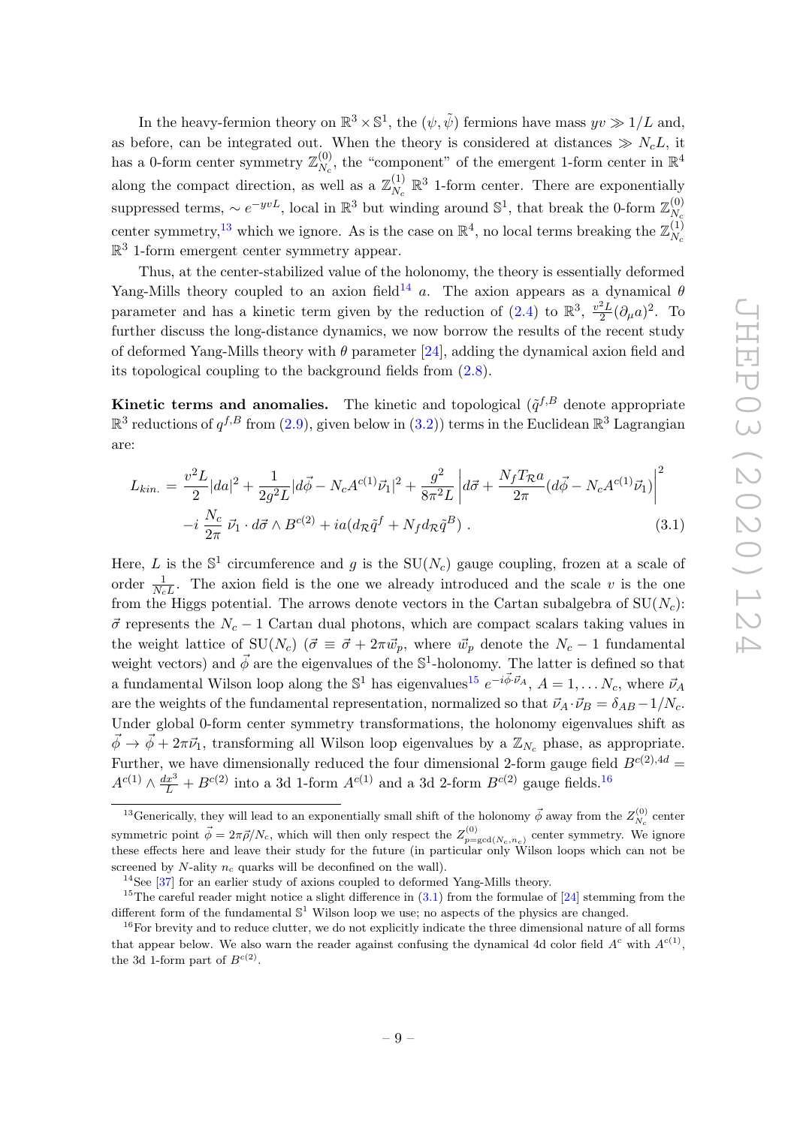In the heavy-fermion theory on  $\mathbb{R}^3 \times \mathbb{S}^1$ , the  $(\psi, \tilde{\psi})$  fermions have mass  $yv \gg 1/L$  and, as before, can be integrated out. When the theory is considered at distances  $\gg N_cL$ , it has a 0-form center symmetry  $\mathbb{Z}_N^{(0)}$  $N_c^{(0)}$ , the "component" of the emergent 1-form center in  $\mathbb{R}^4$ along the compact direction, as well as a  $\mathbb{Z}_{N}^{(1)}$  $N_c \mathbb{R}^3$  1-form center. There are exponentially suppressed terms,  $\sim e^{-yvL}$ , local in  $\mathbb{R}^3$  but winding around  $\mathbb{S}^1$ , that break the 0-form  $\mathbb{Z}_{N}^{(0)}$  $N_c$ center symmetry,<sup>[13](#page-10-0)</sup> which we ignore. As is the case on  $\mathbb{R}^4$ , no local terms breaking the  $\mathbb{Z}_{N_a}^{(1)}$  $N_c$  $\mathbb{R}^3$  1-form emergent center symmetry appear.

Thus, at the center-stabilized value of the holonomy, the theory is essentially deformed Yang-Mills theory coupled to an axion field<sup>[14](#page-10-1)</sup> a. The axion appears as a dynamical  $\theta$ parameter and has a kinetic term given by the reduction of [\(2.4\)](#page-5-1) to  $\mathbb{R}^3$ ,  $\frac{v^2 L}{2}$  $\frac{2L}{2}(\partial_{\mu}a)^{2}$ . To further discuss the long-distance dynamics, we now borrow the results of the recent study of deformed Yang-Mills theory with  $\theta$  parameter [\[24\]](#page-18-1), adding the dynamical axion field and its topological coupling to the background fields from [\(2.8\)](#page-7-0).

**Kinetic terms and anomalies.** The kinetic and topological  $(\tilde{q}^{f,B})$  denote appropriate  $\mathbb{R}^3$  reductions of  $q^{f,B}$  from  $(2.9)$ , given below in  $(3.2)$ ) terms in the Euclidean  $\mathbb{R}^3$  Lagrangian are:

<span id="page-10-4"></span>
$$
L_{kin.} = \frac{v^2 L}{2} |da|^2 + \frac{1}{2g^2 L} |d\vec{\phi} - N_c A^{c(1)} \vec{\nu}_1|^2 + \frac{g^2}{8\pi^2 L} \left| d\vec{\sigma} + \frac{N_f T_{\mathcal{R}} a}{2\pi} (d\vec{\phi} - N_c A^{c(1)} \vec{\nu}_1) \right|^2
$$
  
-*i*  $\frac{N_c}{2\pi} \vec{\nu}_1 \cdot d\vec{\sigma} \wedge B^{c(2)} + ia(d_{\mathcal{R}} \tilde{q}^f + N_f d_{\mathcal{R}} \tilde{q}^B).$  (3.1)

Here, L is the  $\mathbb{S}^1$  circumference and g is the  $SU(N_c)$  gauge coupling, frozen at a scale of order  $\frac{1}{N_c L}$ . The axion field is the one we already introduced and the scale v is the one from the Higgs potential. The arrows denote vectors in the Cartan subalgebra of  $SU(N_c)$ :  $\vec{\sigma}$  represents the  $N_c - 1$  Cartan dual photons, which are compact scalars taking values in the weight lattice of SU( $N_c$ ) ( $\vec{\sigma} \equiv \vec{\sigma} + 2\pi \vec{w}_p$ , where  $\vec{w}_p$  denote the  $N_c - 1$  fundamental weight vectors) and  $\vec{\phi}$  are the eigenvalues of the  $\mathbb{S}^1$ -holonomy. The latter is defined so that a fundamental Wilson loop along the  $\mathbb{S}^1$  has eigenvalues<sup>[15](#page-10-2)</sup>  $e^{-i\vec{\phi}\cdot\vec{\nu}_A}$ ,  $A=1,\ldots N_c$ , where  $\vec{\nu}_A$ are the weights of the fundamental representation, normalized so that  $\vec{v}_A \cdot \vec{v}_B = \delta_{AB} - 1/N_c$ . Under global 0-form center symmetry transformations, the holonomy eigenvalues shift as  $\vec{\phi} \rightarrow \vec{\phi} + 2\pi \vec{\nu}_1$ , transforming all Wilson loop eigenvalues by a  $\mathbb{Z}_{N_c}$  phase, as appropriate. Further, we have dimensionally reduced the four dimensional 2-form gauge field  $B^{c(2),4d} =$  $A^{c(1)} \wedge \frac{dx^3}{L} + B^{c(2)}$  into a 3d 1-form  $A^{c(1)}$  and a 3d 2-form  $B^{c(2)}$  gauge fields.<sup>[16](#page-10-3)</sup>

<span id="page-10-0"></span><sup>&</sup>lt;sup>13</sup>Generically, they will lead to an exponentially small shift of the holonomy  $\vec{\phi}$  away from the  $Z_{N_c}^{(0)}$  center symmetric point  $\vec{\phi} = 2\pi \vec{\rho}/N_c$ , which will then only respect the  $Z_{p=\text{gcd}(N_c,n_c)}^{(0)}$  center symmetry. We ignore these effects here and leave their study for the future (in particular only Wilson loops which can not be screened by N-ality  $n_c$  quarks will be deconfined on the wall).

<span id="page-10-2"></span><span id="page-10-1"></span><sup>&</sup>lt;sup>14</sup>See [\[37\]](#page-18-14) for an earlier study of axions coupled to deformed Yang-Mills theory.

<sup>&</sup>lt;sup>15</sup>The careful reader might notice a slight difference in  $(3.1)$  from the formulae of  $[24]$  stemming from the different form of the fundamental  $\mathbb{S}^1$  Wilson loop we use; no aspects of the physics are changed.

<span id="page-10-3"></span> $16$ For brevity and to reduce clutter, we do not explicitly indicate the three dimensional nature of all forms that appear below. We also warn the reader against confusing the dynamical 4d color field  $A^c$  with  $A^{c(1)}$ , the 3d 1-form part of  $B^{c(2)}$ .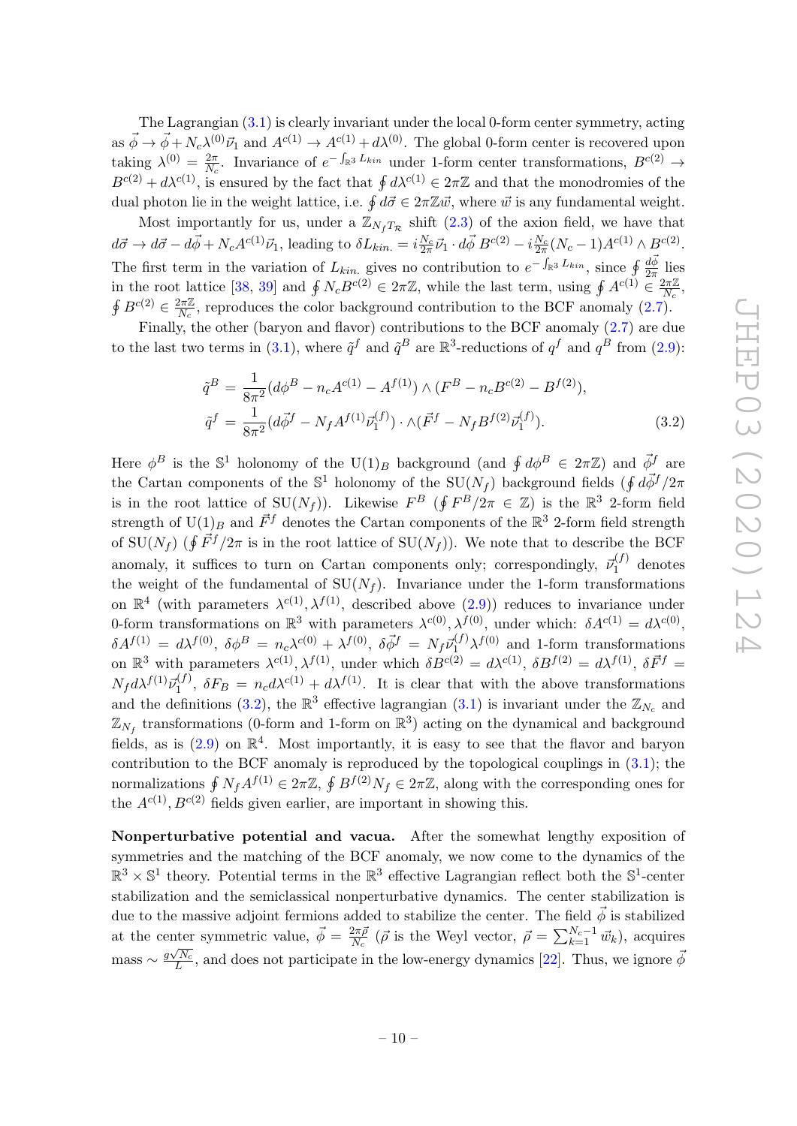The Lagrangian [\(3.1\)](#page-10-4) is clearly invariant under the local 0-form center symmetry, acting as  $\vec{\phi} \to \vec{\phi} + N_c \lambda^{(0)} \vec{\nu}_1$  and  $A^{c(1)} \to A^{c(1)} + d\lambda^{(0)}$ . The global 0-form center is recovered upon taking  $\lambda^{(0)} = \frac{2\pi}{N}$  $\frac{2\pi}{N_c}$ . Invariance of  $e^{-\int_{\mathbb{R}^3} L_{kin}}$  under 1-form center transformations,  $B^{c(2)}$  →  $B^{c(2)} + d\lambda^{c(1)}$ , is ensured by the fact that  $\oint d\lambda^{c(1)} \in 2\pi\mathbb{Z}$  and that the monodromies of the dual photon lie in the weight lattice, i.e.  $\oint d\vec{\sigma} \in 2\pi \mathbb{Z} \vec{w}$ , where  $\vec{w}$  is any fundamental weight.

Most importantly for us, under a  $\mathbb{Z}_{N_fT_{\mathcal{R}}}$  shift [\(2.3\)](#page-5-4) of the axion field, we have that  $d\vec{\sigma} \to d\vec{\sigma} - d\vec{\phi} + N_c A^{c(1)} \vec{\nu}_1$ , leading to  $\delta L_{kin.} = i \frac{N_c}{2\pi} \vec{\nu}_1 \cdot d\vec{\phi} B^{c(2)} - i \frac{N_c}{2\pi} (N_c - 1) A^{c(1)} \wedge B^{c(2)}$ . The first term in the variation of  $L_{kin.}$  gives no contribution to  $e^{-\int_{\mathbb{R}^3} L_{kin}}$ , since  $\oint \frac{d\vec{\phi}}{2\pi}$  lies in the root lattice [\[38,](#page-18-15) [39\]](#page-18-16) and  $\oint N_c B^{c(2)} \in 2\pi \mathbb{Z}$ , while the last term, using  $\oint A^{c(1)} \in \frac{2\pi \mathbb{Z}}{N_c}$  $\frac{2\pi\mathbb{Z}}{N_c},$  $\oint B^{c(2)} \in \frac{2\pi\mathbb{Z}}{N}$  $\frac{2\pi\mathbb{Z}}{N_c}$ , reproduces the color background contribution to the BCF anomaly [\(2.7\)](#page-6-3).

Finally, the other (baryon and flavor) contributions to the BCF anomaly [\(2.7\)](#page-6-3) are due to the last two terms in [\(3.1\)](#page-10-4), where  $\tilde{q}^f$  and  $\tilde{q}^B$  are  $\mathbb{R}^3$ -reductions of  $q^f$  and  $q^B$  from [\(2.9\)](#page-8-0):

<span id="page-11-0"></span>
$$
\tilde{q}^{B} = \frac{1}{8\pi^{2}} (d\phi^{B} - n_{c}A^{c(1)} - A^{f(1)}) \wedge (F^{B} - n_{c}B^{c(2)} - B^{f(2)}),
$$
  
\n
$$
\tilde{q}^{f} = \frac{1}{8\pi^{2}} (d\vec{\phi}^{f} - N_{f}A^{f(1)}\vec{\nu}_{1}^{(f)}) \cdot \wedge (\vec{F}^{f} - N_{f}B^{f(2)}\vec{\nu}_{1}^{(f)}).
$$
\n(3.2)

Here  $\phi^B$  is the S<sup>1</sup> holonomy of the U(1)<sub>B</sub> background (and  $\oint d\phi^B \in 2\pi\mathbb{Z}$ ) and  $\vec{\phi}^f$  are the Cartan components of the  $\mathbb{S}^1$  holonomy of the  $\text{SU}(N_f)$  background fields  $(\oint d\vec{\phi}^f/2\pi)$ is in the root lattice of  $SU(N_f)$ ). Likewise  $F^B$  ( $\oint F^B/2\pi \in \mathbb{Z}$ ) is the  $\mathbb{R}^3$  2-form field strength of  $\mathrm{U}(1)_B$  and  $\vec{F}^f$  denotes the Cartan components of the  $\mathbb{R}^3$  2-form field strength of  $\text{SU}(N_f)$  ( $\oint \vec{F}^f/2\pi$  is in the root lattice of  $\text{SU}(N_f)$ ). We note that to describe the BCF anomaly, it suffices to turn on Cartan components only; correspondingly,  $\vec{\nu}_1^{(f)}$  denotes the weight of the fundamental of  $SU(N_f)$ . Invariance under the 1-form transformations on  $\mathbb{R}^4$  (with parameters  $\lambda^{c(1)}$ ,  $\lambda^{f(1)}$ , described above [\(2.9\)](#page-8-0)) reduces to invariance under 0-form transformations on  $\mathbb{R}^3$  with parameters  $\lambda^{c(0)}, \lambda^{f(0)}$ , under which:  $\delta A^{c(1)} = d\lambda^{c(0)}$ ,  $\delta A^{f(1)} = d\lambda^{f(0)}, \ \delta \phi^B = n_c \lambda^{c(0)} + \lambda^{f(0)}, \ \delta \vec{\phi}^f = N_f \vec{\nu}_1^{(f)} \lambda^{f(0)}$  and 1-form transformations on  $\mathbb{R}^3$  with parameters  $\lambda^{c(1)}$ ,  $\lambda^{f(1)}$ , under which  $\delta B^{c(2)} = d\lambda^{c(1)}$ ,  $\delta B^{f(2)} = d\lambda^{f(1)}$ ,  $\delta \vec{F}^f =$  $N_f d\lambda^{f(1)} \vec{\nu}_1^{(f)}$ ,  $\delta F_B = n_c d\lambda^{c(1)} + d\lambda^{f(1)}$ . It is clear that with the above transformations and the definitions [\(3.2\)](#page-11-0), the  $\mathbb{R}^3$  effective lagrangian [\(3.1\)](#page-10-4) is invariant under the  $\mathbb{Z}_{N_c}$  and  $\mathbb{Z}_{N_f}$  transformations (0-form and 1-form on  $\mathbb{R}^3$ ) acting on the dynamical and background fields, as is  $(2.9)$  on  $\mathbb{R}^4$ . Most importantly, it is easy to see that the flavor and baryon contribution to the BCF anomaly is reproduced by the topological couplings in [\(3.1\)](#page-10-4); the normalizations  $\oint N_f A^{f(1)} \in 2\pi \mathbb{Z}, \ \oint B^{f(2)} N_f \in 2\pi \mathbb{Z},$  along with the corresponding ones for the  $A^{c(1)}$ ,  $B^{c(2)}$  fields given earlier, are important in showing this.

Nonperturbative potential and vacua. After the somewhat lengthy exposition of symmetries and the matching of the BCF anomaly, we now come to the dynamics of the  $\mathbb{R}^3 \times \mathbb{S}^1$  theory. Potential terms in the  $\mathbb{R}^3$  effective Lagrangian reflect both the  $\mathbb{S}^1$ -center stabilization and the semiclassical nonperturbative dynamics. The center stabilization is due to the massive adjoint fermions added to stabilize the center. The field  $\vec{\phi}$  is stabilized at the center symmetric value,  $\vec{\phi} = \frac{2\pi\bar{\rho}}{N_c}$ nter symmetric value,  $\vec{\phi} = \frac{2\pi \vec{\rho}}{N_c}$  ( $\vec{\rho}$  is the Weyl vector,  $\vec{\rho} = \sum_{k=1}^{N_c-1} \vec{w}_k$ ), acquires  $\text{mass} \sim \frac{g\sqrt{N_c}}{L}$  $\frac{\sqrt{N_c}}{L}$ , and does not participate in the low-energy dynamics [\[22\]](#page-17-7). Thus, we ignore  $\bar{\phi}$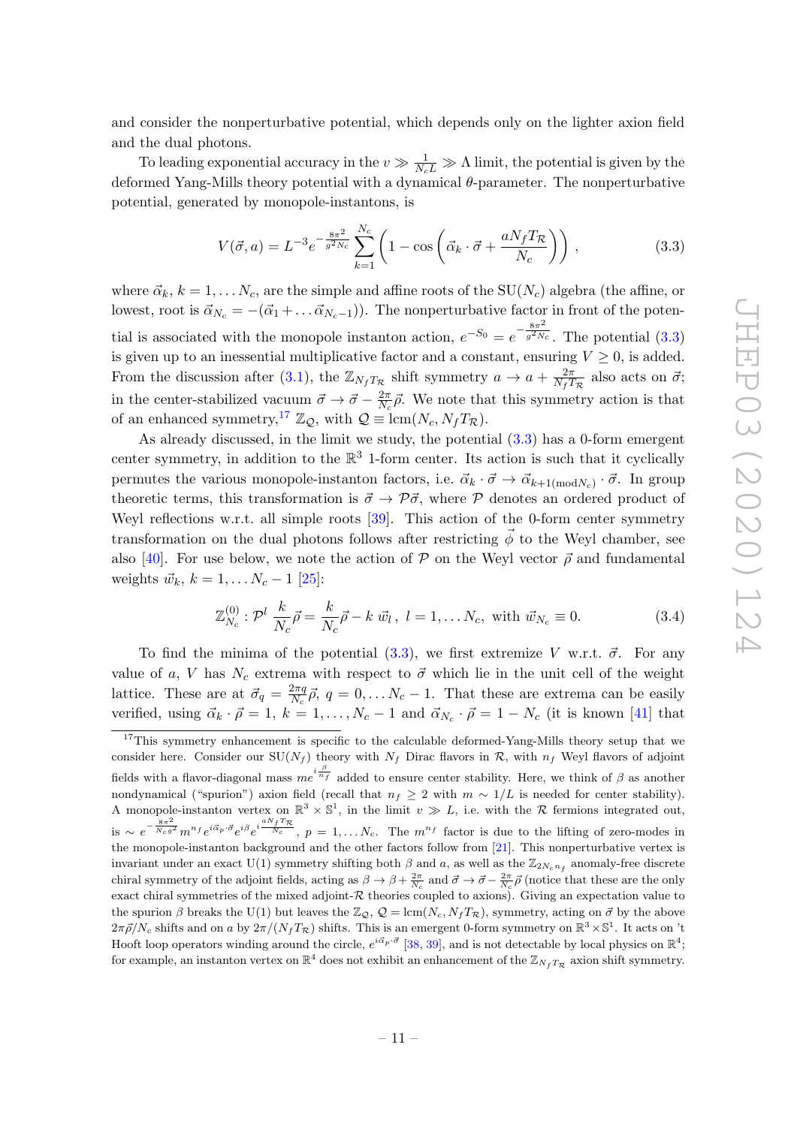and consider the nonperturbative potential, which depends only on the lighter axion field and the dual photons.

To leading exponential accuracy in the  $v \gg \frac{1}{N_c L} \gg \Lambda$  limit, the potential is given by the deformed Yang-Mills theory potential with a dynamical  $\theta$ -parameter. The nonperturbative potential, generated by monopole-instantons, is

<span id="page-12-0"></span>
$$
V(\vec{\sigma}, a) = L^{-3} e^{-\frac{8\pi^2}{g^2 N_c}} \sum_{k=1}^{N_c} \left( 1 - \cos\left(\vec{\alpha}_k \cdot \vec{\sigma} + \frac{a N_f T_{\mathcal{R}}}{N_c}\right)\right),\tag{3.3}
$$

where  $\vec{\alpha}_k, k = 1, \ldots N_c$ , are the simple and affine roots of the SU( $N_c$ ) algebra (the affine, or lowest, root is  $\vec{\alpha}_{N_c} = -(\vec{\alpha}_1 + ... \vec{\alpha}_{N_c-1})$ . The nonperturbative factor in front of the potential is associated with the monopole instanton action,  $e^{-S_0} = e^{-\frac{8\pi^2}{g^2 N}}$  $\sqrt{g^2N_c}$ . The potential  $(3.3)$ is given up to an inessential multiplicative factor and a constant, ensuring  $V \geq 0$ , is added. From the discussion after [\(3.1\)](#page-10-4), the  $\mathbb{Z}_{N_fT_\mathcal{R}}$  shift symmetry  $a \to a + \frac{2\pi}{N_fT}$  $\frac{2\pi}{N_f T_{\mathcal{R}}}$  also acts on  $\vec{\sigma}$ ; in the center-stabilized vacuum  $\vec{\sigma} \rightarrow \vec{\sigma} - \frac{2\pi}{N}$  $\frac{2\pi}{N_c}\vec{\rho}$ . We note that this symmetry action is that of an enhanced symmetry,<sup>[17](#page-12-1)</sup>  $\mathbb{Z}_Q$ , with  $\mathcal{Q} \equiv \text{lcm}(N_c, N_fT_R)$ .

As already discussed, in the limit we study, the potential [\(3.3\)](#page-12-0) has a 0-form emergent center symmetry, in addition to the  $\mathbb{R}^3$  1-form center. Its action is such that it cyclically permutes the various monopole-instanton factors, i.e.  $\vec{\alpha}_k \cdot \vec{\sigma} \to \vec{\alpha}_{k+1 \pmod{N_c}} \cdot \vec{\sigma}$ . In group theoretic terms, this transformation is  $\vec{\sigma} \rightarrow \vec{\rho} \vec{\sigma}$ , where  $\vec{\rho}$  denotes an ordered product of Weyl reflections w.r.t. all simple roots [\[39\]](#page-18-16). This action of the 0-form center symmetry transformation on the dual photons follows after restricting  $\vec{\phi}$  to the Weyl chamber, see also [\[40\]](#page-18-17). For use below, we note the action of  $P$  on the Weyl vector  $\vec{\rho}$  and fundamental weights  $\vec{w}_k, k = 1, \ldots N_c - 1$  [\[25\]](#page-18-2):

<span id="page-12-2"></span>
$$
\mathbb{Z}_{N_c}^{(0)}: \mathcal{P}^l \frac{k}{N_c} \vec{\rho} = \frac{k}{N_c} \vec{\rho} - k \ \vec{w}_l, \ l = 1, \dots N_c, \text{ with } \vec{w}_{N_c} \equiv 0. \tag{3.4}
$$

To find the minima of the potential [\(3.3\)](#page-12-0), we first extremize V w.r.t.  $\vec{\sigma}$ . For any value of a, V has  $N_c$  extrema with respect to  $\vec{\sigma}$  which lie in the unit cell of the weight lattice. These are at  $\vec{\sigma}_q = \frac{2\pi q}{N_c}$  $\frac{2\pi q}{N_c}$ ,  $\vec{\rho}$ ,  $q = 0, \ldots N_c - 1$ . That these are extrema can be easily verified, using  $\vec{\alpha}_k \cdot \vec{\rho} = 1, k = 1, \ldots, N_c - 1$  and  $\vec{\alpha}_{N_c} \cdot \vec{\rho} = 1 - N_c$  (it is known [\[41\]](#page-18-18) that

<span id="page-12-1"></span><sup>&</sup>lt;sup>17</sup>This symmetry enhancement is specific to the calculable deformed-Yang-Mills theory setup that we consider here. Consider our  $SU(N_f)$  theory with  $N_f$  Dirac flavors in R, with  $n_f$  Weyl flavors of adjoint fields with a flavor-diagonal mass  $me^{i\frac{\beta}{n_f}}$  added to ensure center stability. Here, we think of  $\beta$  as another nondynamical ("spurion") axion field (recall that  $n_f \geq 2$  with  $m \sim 1/L$  is needed for center stability). A monopole-instanton vertex on  $\mathbb{R}^3 \times \mathbb{S}^1$ , in the limit  $v \gg L$ , i.e. with the R fermions integrated out, is ~  $e^{-\frac{8\pi^2}{N_c g^2}} m^{n_f} e^{i\vec{\alpha}_p \cdot \vec{\sigma}} e^{i\beta} e^{i\frac{\alpha N_f T_{\mathcal{R}}}{N_c}}, p = 1, \ldots N_c$ . The  $m^{n_f}$  factor is due to the lifting of zero-modes in the monopole-instanton background and the other factors follow from [\[21\]](#page-17-6). This nonperturbative vertex is invariant under an exact U(1) symmetry shifting both  $\beta$  and  $a$ , as well as the  $\mathbb{Z}_{2N_c n_f}$  anomaly-free discrete chiral symmetry of the adjoint fields, acting as  $\beta \to \beta + \frac{2\pi}{N_c}$  and  $\vec{\sigma} \to \vec{\sigma} - \frac{2\pi}{N_c} \vec{\rho}$  (notice that these are the only exact chiral symmetries of the mixed adjoint- $R$  theories coupled to axions). Giving an expectation value to the spurion  $\beta$  breaks the U(1) but leaves the  $\mathbb{Z}_{\mathcal{Q}}, \mathcal{Q} = \text{lcm}(N_c, N_f T_{\mathcal{R}})$ , symmetry, acting on  $\vec{\sigma}$  by the above  $2\pi\vec{\rho}/N_c$  shifts and on a by  $2\pi/(N_f T_{\mathcal{R}})$  shifts. This is an emergent 0-form symmetry on  $\mathbb{R}^3 \times \mathbb{S}^1$ . It acts on 't Hooft loop operators winding around the circle,  $e^{i\vec{\alpha}_p \cdot \vec{\sigma}}$  [\[38,](#page-18-15) [39\]](#page-18-16), and is not detectable by local physics on  $\mathbb{R}^4$ ; for example, an instanton vertex on  $\mathbb{R}^4$  does not exhibit an enhancement of the  $\mathbb{Z}_{N_f T_\mathcal{R}}$  axion shift symmetry.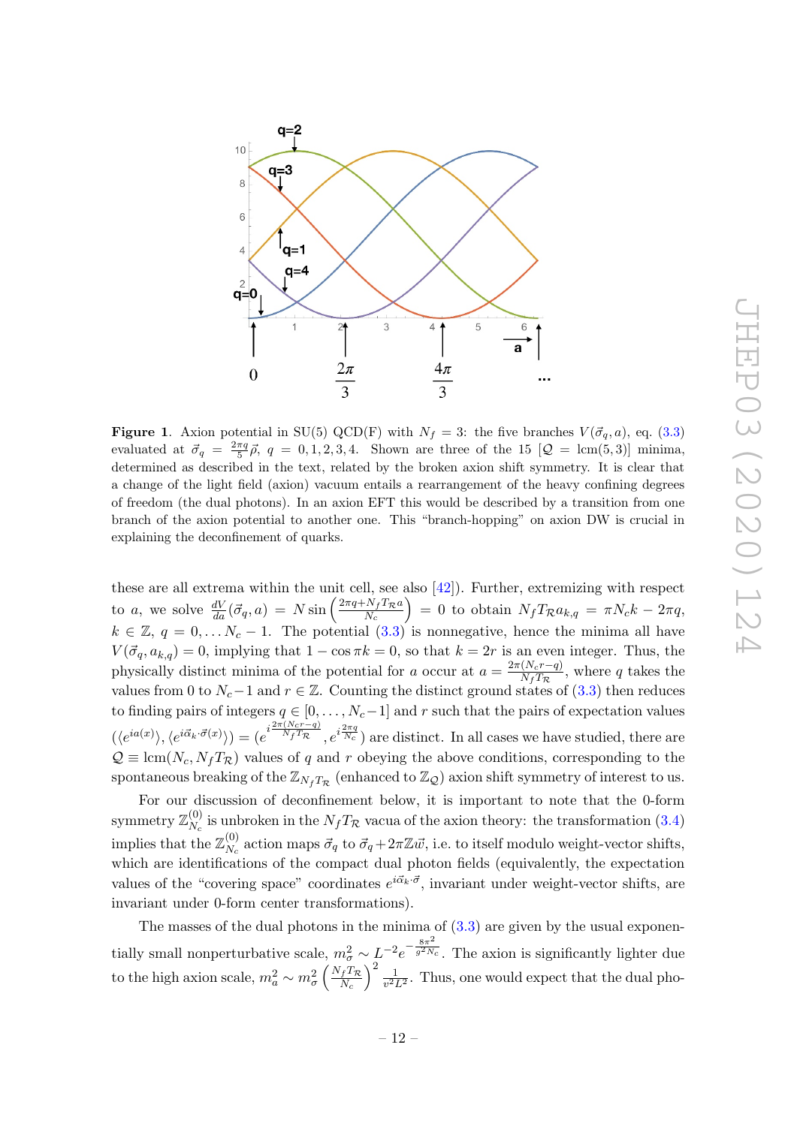

<span id="page-13-0"></span>**Figure 1.** Axion potential in SU(5) QCD(F) with  $N_f = 3$ : the five branches  $V(\vec{\sigma}_q, a)$ , eq. [\(3.3\)](#page-12-0) evaluated at  $\vec{\sigma}_q = \frac{2\pi q}{5} \vec{\rho}$ ,  $q = 0, 1, 2, 3, 4$ . Shown are three of the 15  $[Q = \text{lcm}(5, 3)]$  minima, determined as described in the text, related by the broken axion shift symmetry. It is clear that a change of the light field (axion) vacuum entails a rearrangement of the heavy confining degrees of freedom (the dual photons). In an axion EFT this would be described by a transition from one branch of the axion potential to another one. This "branch-hopping" on axion DW is crucial in explaining the deconfinement of quarks.

these are all extrema within the unit cell, see also [\[42\]](#page-18-19)). Further, extremizing with respect to a, we solve  $\frac{dV}{da}(\vec{\sigma}_q, a) = N \sin\left(\frac{2\pi q + N_f T_{\mathcal{R}} a}{N_c}\right)$  $\left(\frac{N_f T_{\mathcal{R}} a}{N_c}\right) = 0$  to obtain  $N_f T_{\mathcal{R}} a_{k,q} = \pi N_c k - 2\pi q,$  $k \in \mathbb{Z}, q = 0, \ldots N_c - 1$ . The potential  $(3.3)$  is nonnegative, hence the minima all have  $V(\vec{\sigma}_q, a_{k,q}) = 0$ , implying that  $1 - \cos \pi k = 0$ , so that  $k = 2r$  is an even integer. Thus, the physically distinct minima of the potential for a occur at  $a = \frac{2\pi (N_c r - q)}{N_c T_c}$  $\frac{(N_c r - q)}{N_f T_{\mathcal{R}}}$ , where q takes the values from 0 to  $N_c-1$  and  $r \in \mathbb{Z}$ . Counting the distinct ground states of [\(3.3\)](#page-12-0) then reduces to finding pairs of integers  $q \in [0, \ldots, N_c-1]$  and r such that the pairs of expectation values  $(\langle e^{ia(x)} \rangle, \langle e^{i\vec{\alpha}_k \cdot \vec{\sigma}(x)} \rangle) = (e^{i\frac{2\pi (N_c r - q)}{N_f T_{\mathcal{R}}}}, e^{i\frac{2\pi q}{N_c}})$  are distinct. In all cases we have studied, there are  $\mathcal{Q} \equiv \text{lcm}(N_c, N_f T_{\mathcal{R}})$  values of q and r obeying the above conditions, corresponding to the spontaneous breaking of the  $\mathbb{Z}_{N_fT_R}$  (enhanced to  $\mathbb{Z}_Q$ ) axion shift symmetry of interest to us.

For our discussion of deconfinement below, it is important to note that the 0-form symmetry  $\mathbb{Z}_N^{(0)}$  $N_c^{(0)}$  is unbroken in the  $N_f T_{\mathcal{R}}$  vacua of the axion theory: the transformation [\(3.4\)](#page-12-2) implies that the  $\mathbb{Z}_N^{(0)}$  $N_c^{(0)}$  action maps  $\vec{\sigma}_q$  to  $\vec{\sigma}_q + 2\pi \mathbb{Z} \vec{w}$ , i.e. to itself modulo weight-vector shifts, which are identifications of the compact dual photon fields (equivalently, the expectation values of the "covering space" coordinates  $e^{i\vec{\alpha}_k \cdot \vec{\sigma}}$ , invariant under weight-vector shifts, are invariant under 0-form center transformations).

The masses of the dual photons in the minima of  $(3.3)$  are given by the usual exponentially small nonperturbative scale,  $m_{\sigma}^2 \sim L^{-2} e^{-\frac{8\pi^2}{g^2 N}}$  $\sqrt{g^2N_c}$ . The axion is significantly lighter due to the high axion scale,  $m_a^2 \sim m_{\sigma}^2 \left(\frac{N_f T_{\mathcal{R}}}{N_c}\right)$  $\left(\frac{dT_{\mathcal{R}}}{N_c}\right)^2 \frac{1}{v^2}$  $\frac{1}{v^2L^2}$ . Thus, one would expect that the dual pho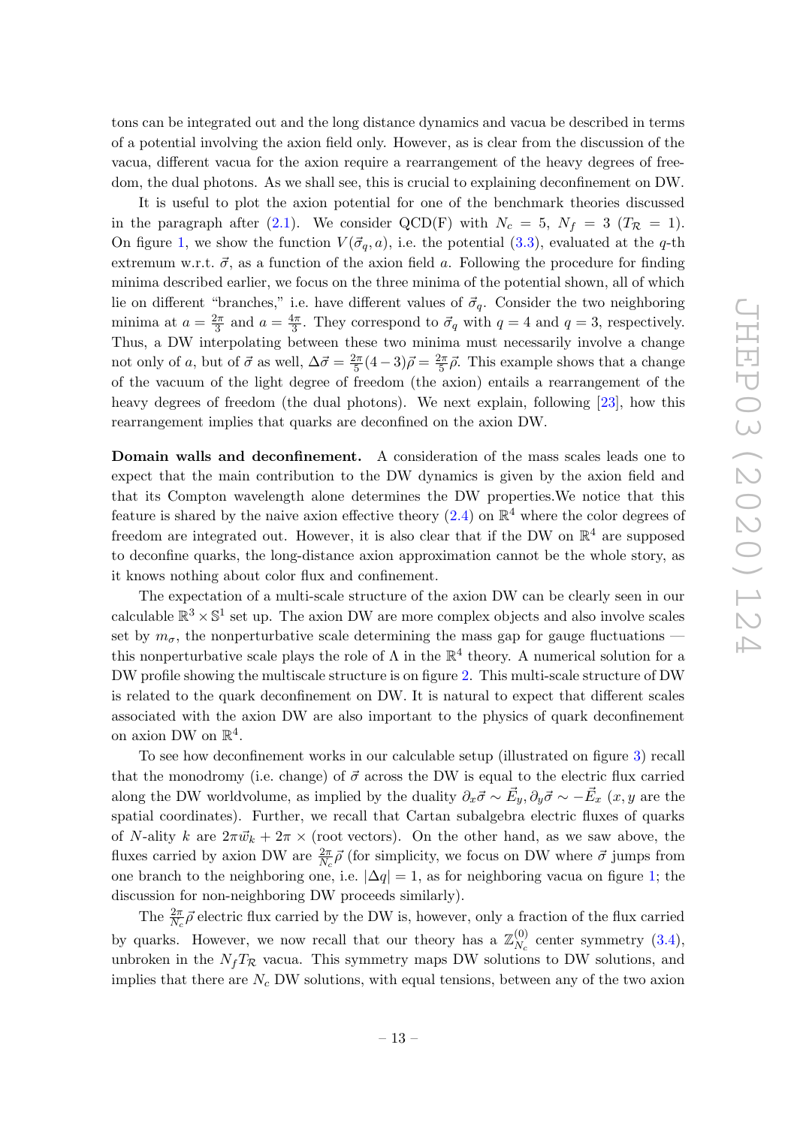tons can be integrated out and the long distance dynamics and vacua be described in terms of a potential involving the axion field only. However, as is clear from the discussion of the vacua, different vacua for the axion require a rearrangement of the heavy degrees of freedom, the dual photons. As we shall see, this is crucial to explaining deconfinement on DW.

It is useful to plot the axion potential for one of the benchmark theories discussed in the paragraph after [\(2.1\)](#page-4-2). We consider QCD(F) with  $N_c = 5$ ,  $N_f = 3$  ( $T_{\mathcal{R}} = 1$ ). On figure [1,](#page-13-0) we show the function  $V(\vec{\sigma}_q, a)$ , i.e. the potential [\(3.3\)](#page-12-0), evaluated at the q-th extremum w.r.t.  $\vec{\sigma}$ , as a function of the axion field a. Following the procedure for finding minima described earlier, we focus on the three minima of the potential shown, all of which lie on different "branches," i.e. have different values of  $\vec{\sigma}_q$ . Consider the two neighboring minima at  $a = \frac{2\pi}{3}$  $\frac{2\pi}{3}$  and  $a = \frac{4\pi}{3}$  $\frac{4\pi}{3}$ . They correspond to  $\vec{\sigma}_q$  with  $q=4$  and  $q=3$ , respectively. Thus, a DW interpolating between these two minima must necessarily involve a change not only of a, but of  $\vec{\sigma}$  as well,  $\Delta \vec{\sigma} = \frac{2\pi}{5}$  $\frac{2\pi}{5}(4-3)\vec{\rho} = \frac{2\pi}{5}$  $\frac{2\pi}{5}\vec{\rho}$ . This example shows that a change of the vacuum of the light degree of freedom (the axion) entails a rearrangement of the heavy degrees of freedom (the dual photons). We next explain, following [\[23\]](#page-18-0), how this rearrangement implies that quarks are deconfined on the axion DW.

Domain walls and deconfinement. A consideration of the mass scales leads one to expect that the main contribution to the DW dynamics is given by the axion field and that its Compton wavelength alone determines the DW properties.We notice that this feature is shared by the naive axion effective theory  $(2.4)$  on  $\mathbb{R}^4$  where the color degrees of freedom are integrated out. However, it is also clear that if the DW on  $\mathbb{R}^4$  are supposed to deconfine quarks, the long-distance axion approximation cannot be the whole story, as it knows nothing about color flux and confinement.

The expectation of a multi-scale structure of the axion DW can be clearly seen in our calculable  $\mathbb{R}^3 \times \mathbb{S}^1$  set up. The axion DW are more complex objects and also involve scales set by  $m_{\sigma}$ , the nonperturbative scale determining the mass gap for gauge fluctuations this nonperturbative scale plays the role of  $\Lambda$  in the  $\mathbb{R}^4$  theory. A numerical solution for a DW profile showing the multiscale structure is on figure [2.](#page-15-0) This multi-scale structure of DW is related to the quark deconfinement on DW. It is natural to expect that different scales associated with the axion DW are also important to the physics of quark deconfinement on axion DW on  $\mathbb{R}^4$ .

To see how deconfinement works in our calculable setup (illustrated on figure [3\)](#page-16-2) recall that the monodromy (i.e. change) of  $\vec{\sigma}$  across the DW is equal to the electric flux carried along the DW worldvolume, as implied by the duality  $\partial_x \vec{\sigma} \sim \vec{E_y}, \partial_y \vec{\sigma} \sim -\vec{E_x} (x, y \text{ are the})$ spatial coordinates). Further, we recall that Cartan subalgebra electric fluxes of quarks of N-ality k are  $2\pi \vec{w}_k + 2\pi \times$  (root vectors). On the other hand, as we saw above, the fluxes carried by axion DW are  $\frac{2\pi}{N_c}\vec{\rho}$  (for simplicity, we focus on DW where  $\vec{\sigma}$  jumps from one branch to the neighboring one, i.e.  $|\Delta q| = 1$ , as for neighboring vacua on figure [1;](#page-13-0) the discussion for non-neighboring DW proceeds similarly).

The  $\frac{2\pi}{N_c} \vec{\rho}$  electric flux carried by the DW is, however, only a fraction of the flux carried by quarks. However, we now recall that our theory has a  $\mathbb{Z}_{N}^{(0)}$  $N_c^{(0)}$  center symmetry  $(3.4)$ , unbroken in the  $N_fT_{\mathcal{R}}$  vacua. This symmetry maps DW solutions to DW solutions, and implies that there are  $N_c$  DW solutions, with equal tensions, between any of the two axion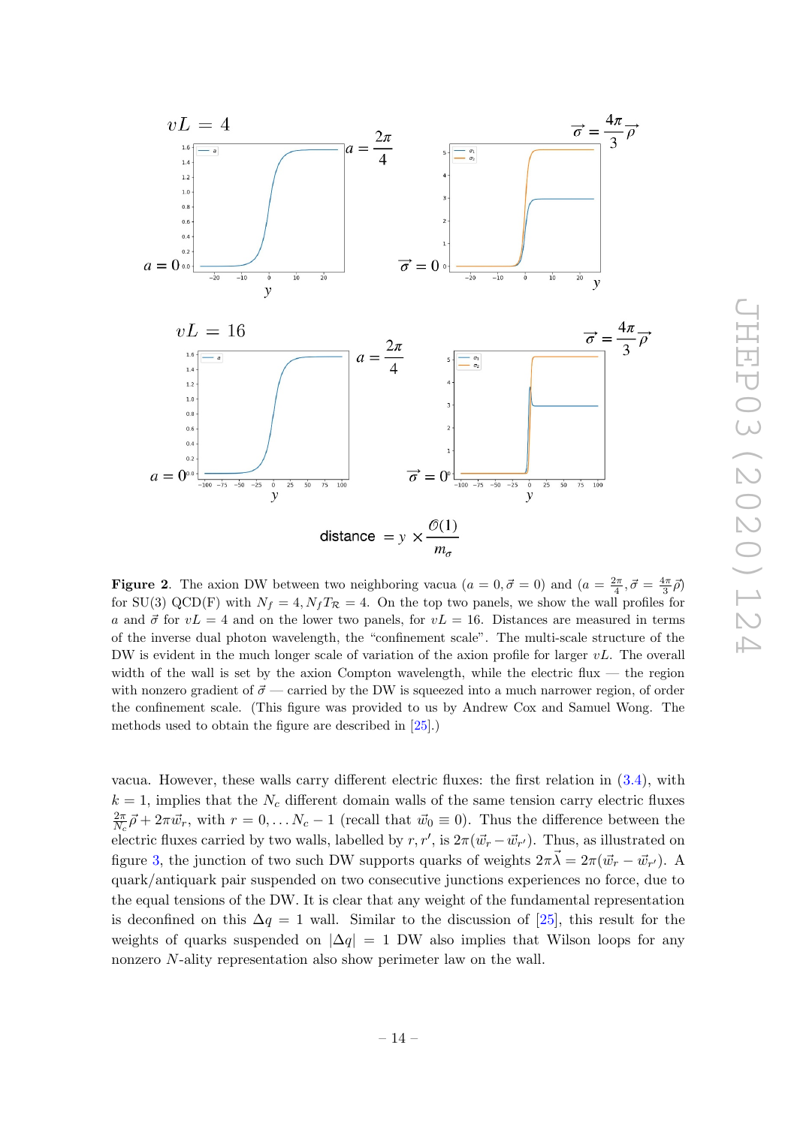

<span id="page-15-0"></span>**Figure 2.** The axion DW between two neighboring vacua  $(a = 0, \vec{\sigma} = 0)$  and  $(a = \frac{2\pi}{4}, \vec{\sigma} = \frac{4\pi}{3}\vec{\rho})$ for SU(3) QCD(F) with  $N_f = 4$ ,  $N_fT_{\mathcal{R}} = 4$ . On the top two panels, we show the wall profiles for a and  $\vec{\sigma}$  for  $vL = 4$  and on the lower two panels, for  $vL = 16$ . Distances are measured in terms of the inverse dual photon wavelength, the "confinement scale". The multi-scale structure of the DW is evident in the much longer scale of variation of the axion profile for larger  $vL$ . The overall width of the wall is set by the axion Compton wavelength, while the electric flux — the region with nonzero gradient of  $\vec{\sigma}$  — carried by the DW is squeezed into a much narrower region, of order the confinement scale. (This figure was provided to us by Andrew Cox and Samuel Wong. The methods used to obtain the figure are described in [\[25\]](#page-18-2).)

vacua. However, these walls carry different electric fluxes: the first relation in [\(3.4\)](#page-12-2), with  $k = 1$ , implies that the  $N_c$  different domain walls of the same tension carry electric fluxes  $2\pi$  $\frac{2\pi}{N_c}\vec{\rho} + 2\pi \vec{w}_r$ , with  $r = 0, \ldots N_c - 1$  (recall that  $\vec{w}_0 \equiv 0$ ). Thus the difference between the electric fluxes carried by two walls, labelled by  $r, r'$ , is  $2\pi(\vec{w}_r - \vec{w}_{r'})$ . Thus, as illustrated on figure [3,](#page-16-2) the junction of two such DW supports quarks of weights  $2\pi\vec{\lambda} = 2\pi(\vec{w_r} - \vec{w_{r'}})$ . A quark/antiquark pair suspended on two consecutive junctions experiences no force, due to the equal tensions of the DW. It is clear that any weight of the fundamental representation is deconfined on this  $\Delta q = 1$  wall. Similar to the discussion of [\[25\]](#page-18-2), this result for the weights of quarks suspended on  $|\Delta q| = 1$  DW also implies that Wilson loops for any nonzero N-ality representation also show perimeter law on the wall.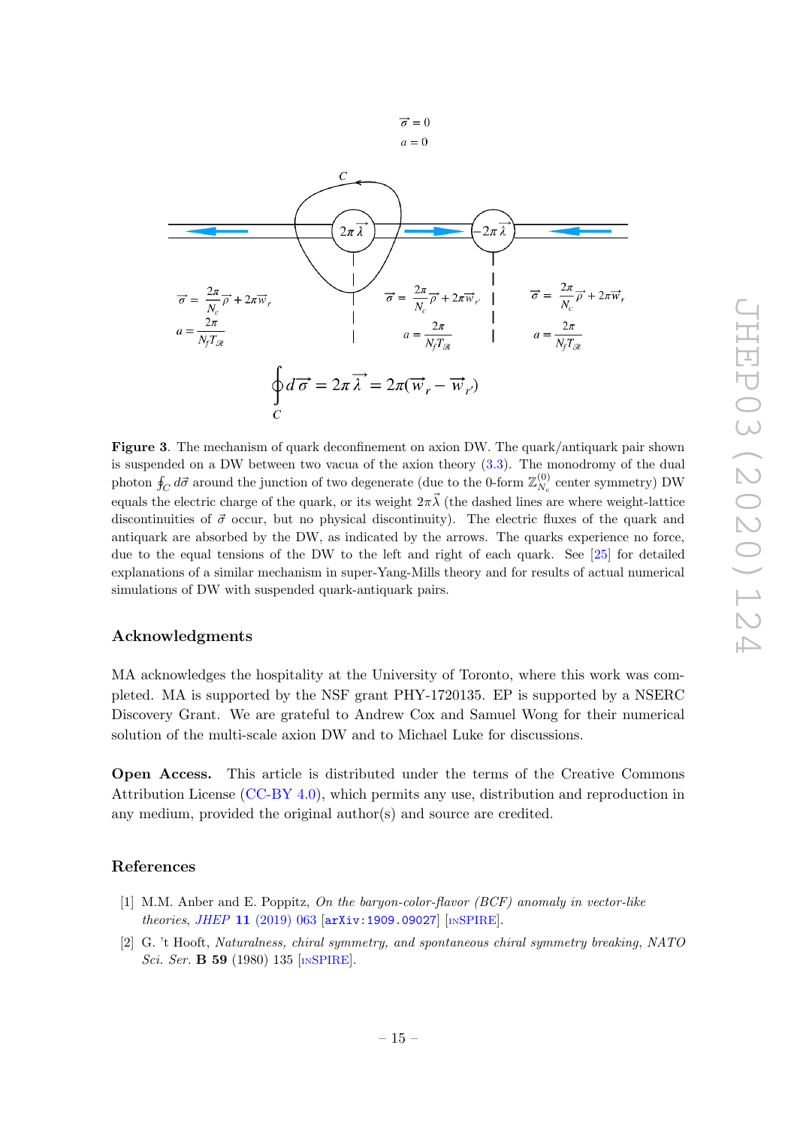

<span id="page-16-2"></span>Figure 3. The mechanism of quark deconfinement on axion DW. The quark/antiquark pair shown is suspended on a DW between two vacua of the axion theory [\(3.3\)](#page-12-0). The monodromy of the dual photon  $\oint_C d\vec{\sigma}$  around the junction of two degenerate (due to the 0-form  $\mathbb{Z}_{N_c}^{(0)}$  $N_c^{(0)}$  center symmetry) DW equals the electric charge of the quark, or its weight  $2\pi\vec{\lambda}$  (the dashed lines are where weight-lattice discontinuities of  $\vec{\sigma}$  occur, but no physical discontinuity). The electric fluxes of the quark and antiquark are absorbed by the DW, as indicated by the arrows. The quarks experience no force, due to the equal tensions of the DW to the left and right of each quark. See [\[25\]](#page-18-2) for detailed explanations of a similar mechanism in super-Yang-Mills theory and for results of actual numerical simulations of DW with suspended quark-antiquark pairs.

### Acknowledgments

MA acknowledges the hospitality at the University of Toronto, where this work was completed. MA is supported by the NSF grant PHY-1720135. EP is supported by a NSERC Discovery Grant. We are grateful to Andrew Cox and Samuel Wong for their numerical solution of the multi-scale axion DW and to Michael Luke for discussions.

Open Access. This article is distributed under the terms of the Creative Commons Attribution License [\(CC-BY 4.0\)](https://creativecommons.org/licenses/by/4.0/), which permits any use, distribution and reproduction in any medium, provided the original author(s) and source are credited.

### References

- <span id="page-16-0"></span>[1] M.M. Anber and E. Poppitz, On the baryon-color-flavor (BCF) anomaly in vector-like theories, JHEP 11 [\(2019\) 063](https://doi.org/10.1007/JHEP11(2019)063) [[arXiv:1909.09027](https://arxiv.org/abs/1909.09027)] [IN[SPIRE](https://inspirehep.net/search?p=find+EPRINT+arXiv:1909.09027)].
- <span id="page-16-1"></span>[2] G. 't Hooft, Naturalness, chiral symmetry, and spontaneous chiral symmetry breaking, NATO Sci. Ser. **B 59** (1980) 135 [IN[SPIRE](https://inspirehep.net/search?p=find+J+%22NATO Sci.Ser.B,59,135%22)].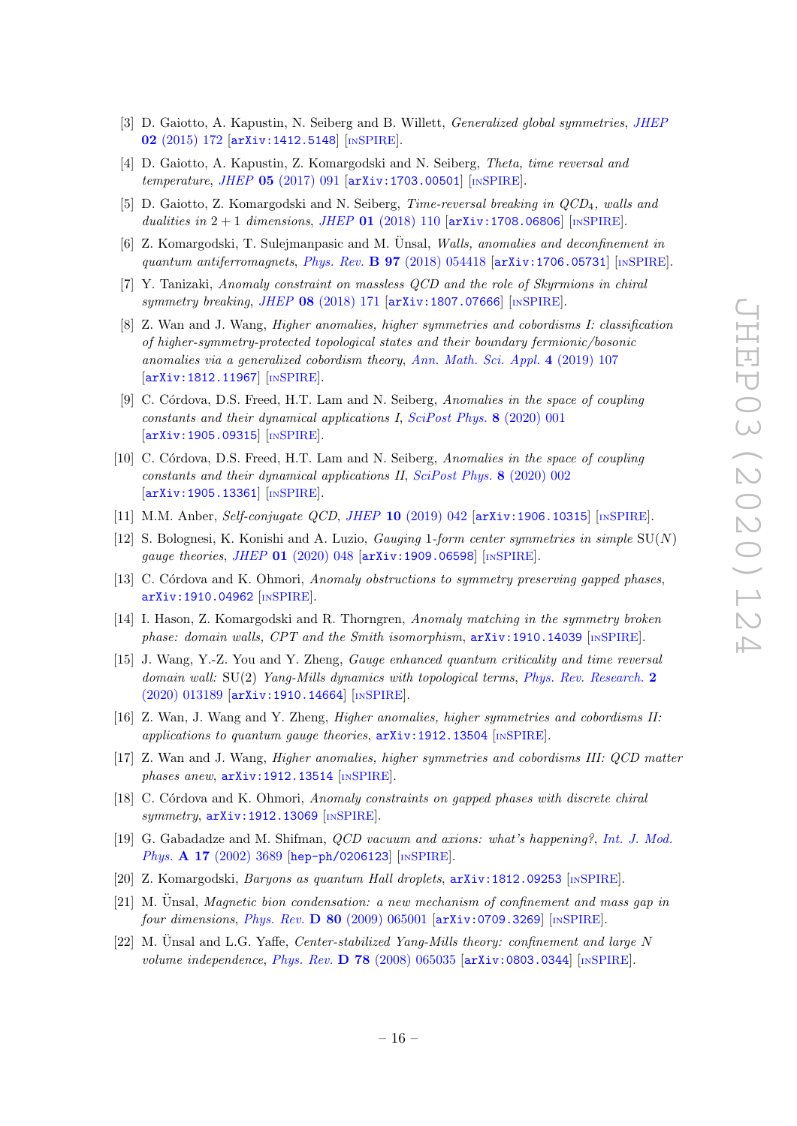- <span id="page-17-0"></span>[3] D. Gaiotto, A. Kapustin, N. Seiberg and B. Willett, Generalized global symmetries, [JHEP](https://doi.org/10.1007/JHEP02(2015)172) 02 [\(2015\) 172](https://doi.org/10.1007/JHEP02(2015)172) [[arXiv:1412.5148](https://arxiv.org/abs/1412.5148)] [IN[SPIRE](https://inspirehep.net/search?p=find+EPRINT+arXiv:1412.5148)].
- <span id="page-17-9"></span>[4] D. Gaiotto, A. Kapustin, Z. Komargodski and N. Seiberg, Theta, time reversal and temperature, JHEP  $05$  [\(2017\) 091](https://doi.org/10.1007/JHEP05(2017)091) [[arXiv:1703.00501](https://arxiv.org/abs/1703.00501)] [IN[SPIRE](https://inspirehep.net/search?p=find+EPRINT+arXiv:1703.00501)].
- <span id="page-17-1"></span>[5] D. Gaiotto, Z. Komargodski and N. Seiberg, Time-reversal breaking in QCD4, walls and dualities in  $2 + 1$  dimensions, JHEP 01 [\(2018\) 110](https://doi.org/10.1007/JHEP01(2018)110)  $\left[ \text{arXiv:1708.06806} \right]$  $\left[ \text{arXiv:1708.06806} \right]$  $\left[ \text{arXiv:1708.06806} \right]$  [IN[SPIRE](https://inspirehep.net/search?p=find+EPRINT+arXiv:1708.06806)].
- <span id="page-17-2"></span>[6] Z. Komargodski, T. Sulejmanpasic and M. Unsal, *Walls, anomalies and deconfinement in* quantum antiferromagnets, Phys. Rev. B 97 [\(2018\) 054418](https://doi.org/10.1103/PhysRevB.97.054418) [arXiv: 1706.05731] [IN[SPIRE](https://inspirehep.net/search?p=find+EPRINT+arXiv:1706.05731)].
- [7] Y. Tanizaki, Anomaly constraint on massless QCD and the role of Skyrmions in chiral symmetry breaking, JHEP 08 [\(2018\) 171](https://doi.org/10.1007/JHEP08(2018)171) [[arXiv:1807.07666](https://arxiv.org/abs/1807.07666)] [IN[SPIRE](https://inspirehep.net/search?p=find+EPRINT+arXiv:1807.07666)].
- [8] Z. Wan and J. Wang, Higher anomalies, higher symmetries and cobordisms I: classification of higher-symmetry-protected topological states and their boundary fermionic/bosonic anomalies via a generalized cobordism theory, [Ann. Math. Sci. Appl.](https://doi.org/10.4310/AMSA.2019.v4.n2.a2) 4 (2019) 107 [[arXiv:1812.11967](https://arxiv.org/abs/1812.11967)] [IN[SPIRE](https://inspirehep.net/search?p=find+EPRINT+arXiv:1812.11967)].
- [9] C. Córdova, D.S. Freed, H.T. Lam and N. Seiberg, Anomalies in the space of coupling constants and their dynamical applications I, [SciPost Phys.](https://doi.org/10.21468/SciPostPhys.8.1.001) 8 (2020) 001 [[arXiv:1905.09315](https://arxiv.org/abs/1905.09315)] [IN[SPIRE](https://inspirehep.net/search?p=find+EPRINT+arXiv:1905.09315)].
- <span id="page-17-8"></span>[10] C. Córdova, D.S. Freed, H.T. Lam and N. Seiberg, Anomalies in the space of coupling constants and their dynamical applications II, [SciPost Phys.](https://doi.org/10.21468/SciPostPhys.8.1.002) 8 (2020) 002 [[arXiv:1905.13361](https://arxiv.org/abs/1905.13361)] [IN[SPIRE](https://inspirehep.net/search?p=find+EPRINT+arXiv:1905.13361)].
- [11] M.M. Anber, Self-conjugate QCD, JHEP 10 [\(2019\) 042](https://doi.org/10.1007/JHEP10(2019)042) [[arXiv:1906.10315](https://arxiv.org/abs/1906.10315)] [IN[SPIRE](https://inspirehep.net/search?p=find+EPRINT+arXiv:1906.10315)].
- [12] S. Bolognesi, K. Konishi and A. Luzio, *Gauging 1-form center symmetries in simple*  $SU(N)$ gauge theories, JHEP 01 [\(2020\) 048](https://doi.org/10.1007/JHEP01(2020)048) [[arXiv:1909.06598](https://arxiv.org/abs/1909.06598)] [IN[SPIRE](https://inspirehep.net/search?p=find+EPRINT+arXiv:1909.06598)].
- [13] C. Córdova and K. Ohmori, Anomaly obstructions to symmetry preserving gapped phases, [arXiv:1910.04962](https://arxiv.org/abs/1910.04962) [IN[SPIRE](https://inspirehep.net/search?p=find+EPRINT+arXiv:1910.04962)].
- [14] I. Hason, Z. Komargodski and R. Thorngren, Anomaly matching in the symmetry broken phase: domain walls, CPT and the Smith isomorphism,  $arXiv:1910.14039$  [IN[SPIRE](https://inspirehep.net/search?p=find+EPRINT+arXiv:1910.14039)].
- [15] J. Wang, Y.-Z. You and Y. Zheng, Gauge enhanced quantum criticality and time reversal domain wall:  $SU(2)$  Yang-Mills dynamics with topological terms, [Phys. Rev. Research.](https://doi.org/10.1103/PhysRevResearch.2.013189) 2 [\(2020\) 013189](https://doi.org/10.1103/PhysRevResearch.2.013189) [[arXiv:1910.14664](https://arxiv.org/abs/1910.14664)] [IN[SPIRE](https://inspirehep.net/search?p=find+EPRINT+arXiv:1910.14664)].
- [16] Z. Wan, J. Wang and Y. Zheng, Higher anomalies, higher symmetries and cobordisms II: applications to quantum gauge theories,  $arXiv:1912.13504$  [IN[SPIRE](https://inspirehep.net/search?p=find+EPRINT+arXiv:1912.13504)].
- [17] Z. Wan and J. Wang, Higher anomalies, higher symmetries and cobordisms III: QCD matter phases anew,  $arXiv:1912.13514$  [IN[SPIRE](https://inspirehep.net/search?p=find+EPRINT+arXiv:1912.13514)].
- <span id="page-17-3"></span>[18] C. Córdova and K. Ohmori, Anomaly constraints on gapped phases with discrete chiral symmetry,  $arXiv:1912.13069$  [IN[SPIRE](https://inspirehep.net/search?p=find+EPRINT+arXiv:1912.13069)].
- <span id="page-17-4"></span>[19] G. Gabadadze and M. Shifman, QCD vacuum and axions: what's happening?, [Int. J. Mod.](https://doi.org/10.1142/S0217751X02011357) Phys. A 17 [\(2002\) 3689](https://doi.org/10.1142/S0217751X02011357) [[hep-ph/0206123](https://arxiv.org/abs/hep-ph/0206123)] [IN[SPIRE](https://inspirehep.net/search?p=find+EPRINT+hep-ph/0206123)].
- <span id="page-17-5"></span>[20] Z. Komargodski, Baryons as quantum Hall droplets, [arXiv:1812.09253](https://arxiv.org/abs/1812.09253) [IN[SPIRE](https://inspirehep.net/search?p=find+EPRINT+arXiv:1812.09253)].
- <span id="page-17-6"></span> $[21]$  M. Unsal, *Magnetic bion condensation: a new mechanism of confinement and mass gap in* four dimensions, Phys. Rev.  $D$  80 [\(2009\) 065001](https://doi.org/10.1103/PhysRevD.80.065001) [[arXiv:0709.3269](https://arxiv.org/abs/0709.3269)] [IN[SPIRE](https://inspirehep.net/search?p=find+EPRINT+arXiv:0709.3269)].
- <span id="page-17-7"></span>[22] M. Unsal and L.G. Yaffe, Center-stabilized Yang-Mills theory: confinement and large N volume independence, Phys. Rev.  $\bf{D}$  78 [\(2008\) 065035](https://doi.org/10.1103/PhysRevD.78.065035) [[arXiv:0803.0344](https://arxiv.org/abs/0803.0344)] [IN[SPIRE](https://inspirehep.net/search?p=find+EPRINT+arXiv:0803.0344)].